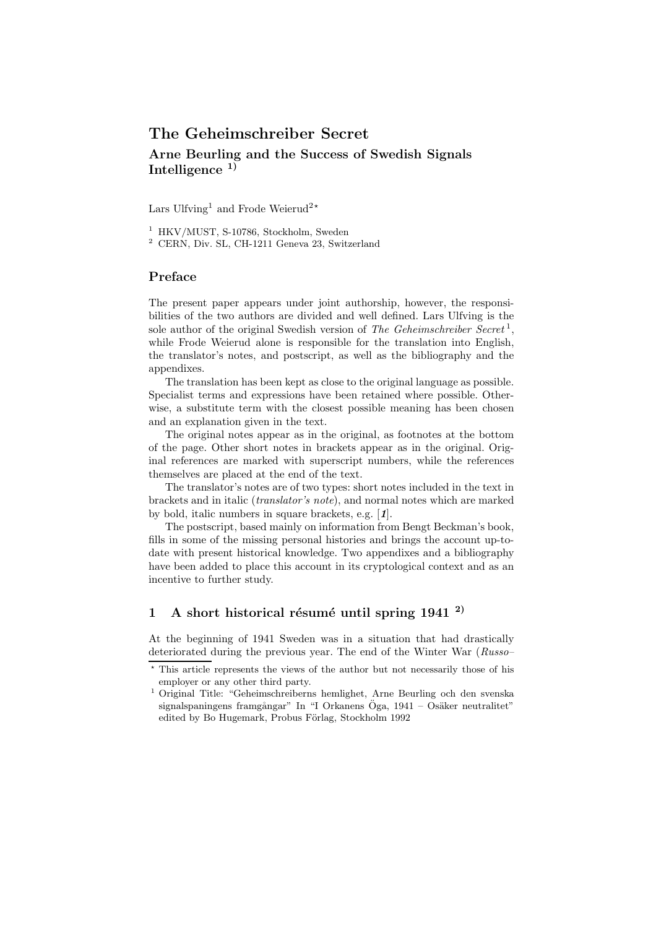# The Geheimschreiber Secret

# Arne Beurling and the Success of Swedish Signals Intelligence  $1$ )

Lars Ulfving<sup>1</sup> and Frode Weierud<sup>2\*</sup>

<sup>1</sup> HKV/MUST, S-10786, Stockholm, Sweden

<sup>2</sup> CERN, Div. SL, CH-1211 Geneva 23, Switzerland

# Preface

The present paper appears under joint authorship, however, the responsibilities of the two authors are divided and well defined. Lars Ulfving is the sole author of the original Swedish version of The Geheimschreiber  $\text{Secret}^1$ , while Frode Weierud alone is responsible for the translation into English, the translator's notes, and postscript, as well as the bibliography and the appendixes.

The translation has been kept as close to the original language as possible. Specialist terms and expressions have been retained where possible. Otherwise, a substitute term with the closest possible meaning has been chosen and an explanation given in the text.

The original notes appear as in the original, as footnotes at the bottom of the page. Other short notes in brackets appear as in the original. Original references are marked with superscript numbers, while the references themselves are placed at the end of the text.

The translator's notes are of two types: short notes included in the text in brackets and in italic (translator's note), and normal notes which are marked by bold, italic numbers in square brackets, e.g. [1].

The postscript, based mainly on information from Bengt Beckman's book, fills in some of the missing personal histories and brings the account up-todate with present historical knowledge. Two appendixes and a bibliography have been added to place this account in its cryptological context and as an incentive to further study.

# 1 A short historical résumé until spring 1941 <sup>2)</sup>

At the beginning of 1941 Sweden was in a situation that had drastically deteriorated during the previous year. The end of the Winter War (Russo–

<sup>?</sup> This article represents the views of the author but not necessarily those of his employer or any other third party.

<sup>1</sup> Original Title: "Geheimschreiberns hemlighet, Arne Beurling och den svenska signalspaningens framgångar" In "I Orkanens Öga, 1941 – Osäker neutralitet" edited by Bo Hugemark, Probus Förlag, Stockholm 1992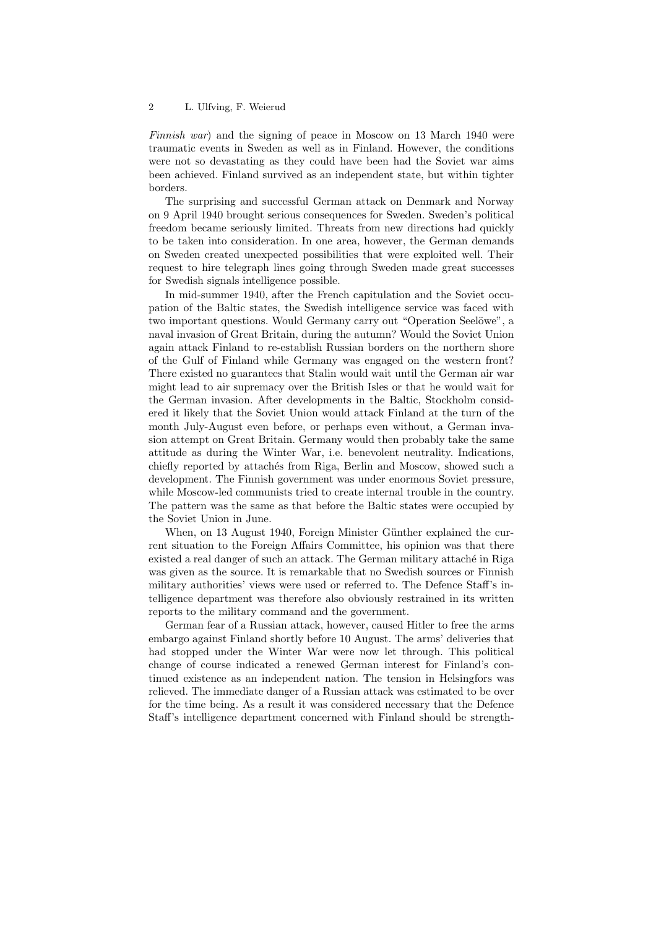Finnish war) and the signing of peace in Moscow on 13 March 1940 were traumatic events in Sweden as well as in Finland. However, the conditions were not so devastating as they could have been had the Soviet war aims been achieved. Finland survived as an independent state, but within tighter borders.

The surprising and successful German attack on Denmark and Norway on 9 April 1940 brought serious consequences for Sweden. Sweden's political freedom became seriously limited. Threats from new directions had quickly to be taken into consideration. In one area, however, the German demands on Sweden created unexpected possibilities that were exploited well. Their request to hire telegraph lines going through Sweden made great successes for Swedish signals intelligence possible.

In mid-summer 1940, after the French capitulation and the Soviet occupation of the Baltic states, the Swedish intelligence service was faced with two important questions. Would Germany carry out "Operation Seelöwe", a naval invasion of Great Britain, during the autumn? Would the Soviet Union again attack Finland to re-establish Russian borders on the northern shore of the Gulf of Finland while Germany was engaged on the western front? There existed no guarantees that Stalin would wait until the German air war might lead to air supremacy over the British Isles or that he would wait for the German invasion. After developments in the Baltic, Stockholm considered it likely that the Soviet Union would attack Finland at the turn of the month July-August even before, or perhaps even without, a German invasion attempt on Great Britain. Germany would then probably take the same attitude as during the Winter War, i.e. benevolent neutrality. Indications, chiefly reported by attachés from Riga, Berlin and Moscow, showed such a development. The Finnish government was under enormous Soviet pressure, while Moscow-led communists tried to create internal trouble in the country. The pattern was the same as that before the Baltic states were occupied by the Soviet Union in June.

When, on 13 August 1940, Foreign Minister Günther explained the current situation to the Foreign Affairs Committee, his opinion was that there existed a real danger of such an attack. The German military attaché in Riga was given as the source. It is remarkable that no Swedish sources or Finnish military authorities' views were used or referred to. The Defence Staff's intelligence department was therefore also obviously restrained in its written reports to the military command and the government.

German fear of a Russian attack, however, caused Hitler to free the arms embargo against Finland shortly before 10 August. The arms' deliveries that had stopped under the Winter War were now let through. This political change of course indicated a renewed German interest for Finland's continued existence as an independent nation. The tension in Helsingfors was relieved. The immediate danger of a Russian attack was estimated to be over for the time being. As a result it was considered necessary that the Defence Staff's intelligence department concerned with Finland should be strength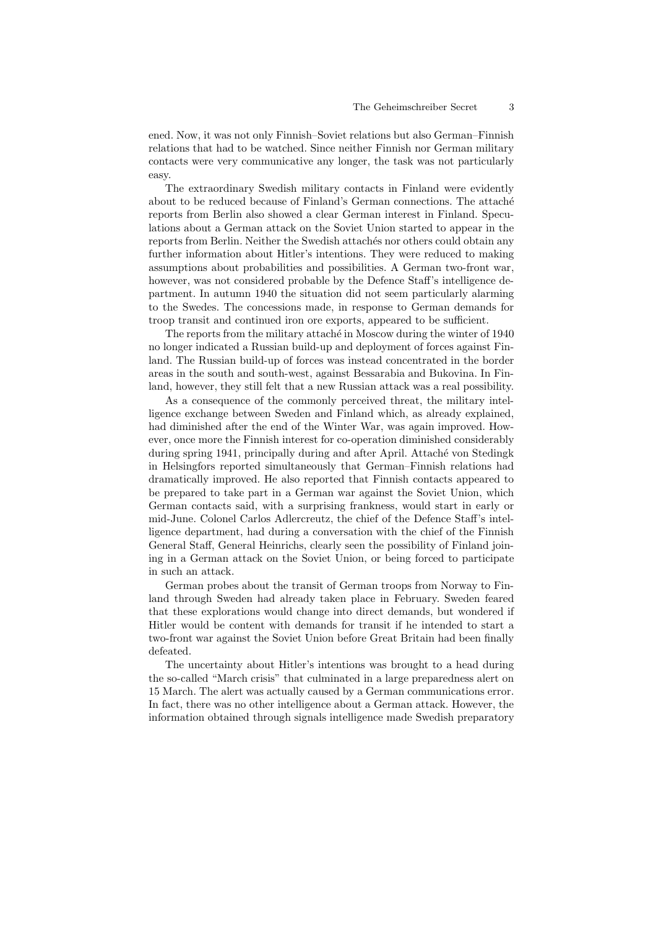ened. Now, it was not only Finnish–Soviet relations but also German–Finnish relations that had to be watched. Since neither Finnish nor German military contacts were very communicative any longer, the task was not particularly easy.

The extraordinary Swedish military contacts in Finland were evidently about to be reduced because of Finland's German connections. The attaché reports from Berlin also showed a clear German interest in Finland. Speculations about a German attack on the Soviet Union started to appear in the reports from Berlin. Neither the Swedish attachés nor others could obtain any further information about Hitler's intentions. They were reduced to making assumptions about probabilities and possibilities. A German two-front war, however, was not considered probable by the Defence Staff's intelligence department. In autumn 1940 the situation did not seem particularly alarming to the Swedes. The concessions made, in response to German demands for troop transit and continued iron ore exports, appeared to be sufficient.

The reports from the military attaché in Moscow during the winter of 1940 no longer indicated a Russian build-up and deployment of forces against Finland. The Russian build-up of forces was instead concentrated in the border areas in the south and south-west, against Bessarabia and Bukovina. In Finland, however, they still felt that a new Russian attack was a real possibility.

As a consequence of the commonly perceived threat, the military intelligence exchange between Sweden and Finland which, as already explained, had diminished after the end of the Winter War, was again improved. However, once more the Finnish interest for co-operation diminished considerably during spring 1941, principally during and after April. Attaché von Stedingk in Helsingfors reported simultaneously that German–Finnish relations had dramatically improved. He also reported that Finnish contacts appeared to be prepared to take part in a German war against the Soviet Union, which German contacts said, with a surprising frankness, would start in early or mid-June. Colonel Carlos Adlercreutz, the chief of the Defence Staff's intelligence department, had during a conversation with the chief of the Finnish General Staff, General Heinrichs, clearly seen the possibility of Finland joining in a German attack on the Soviet Union, or being forced to participate in such an attack.

German probes about the transit of German troops from Norway to Finland through Sweden had already taken place in February. Sweden feared that these explorations would change into direct demands, but wondered if Hitler would be content with demands for transit if he intended to start a two-front war against the Soviet Union before Great Britain had been finally defeated.

The uncertainty about Hitler's intentions was brought to a head during the so-called "March crisis" that culminated in a large preparedness alert on 15 March. The alert was actually caused by a German communications error. In fact, there was no other intelligence about a German attack. However, the information obtained through signals intelligence made Swedish preparatory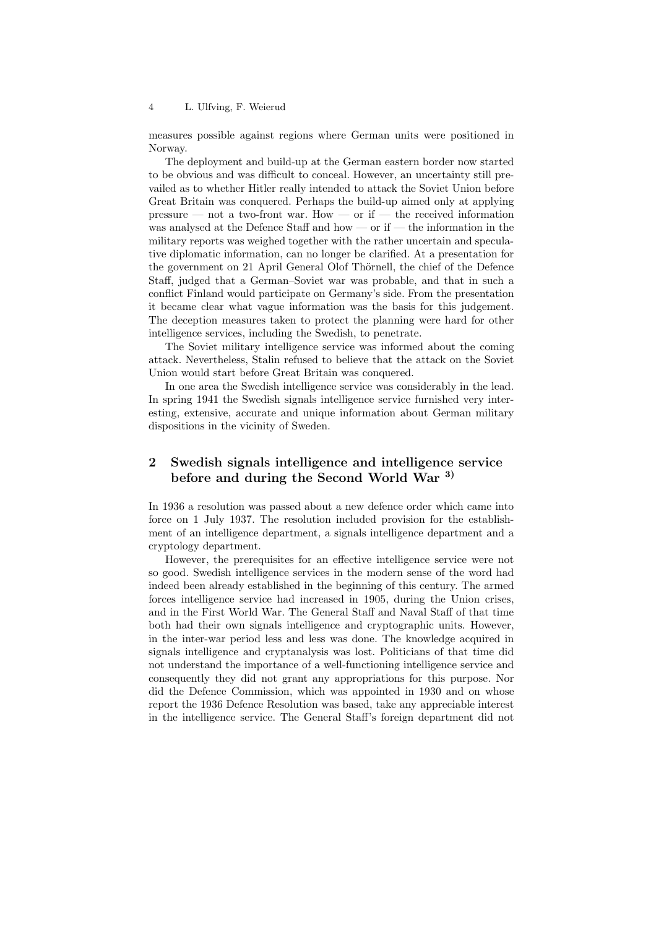measures possible against regions where German units were positioned in Norway.

The deployment and build-up at the German eastern border now started to be obvious and was difficult to conceal. However, an uncertainty still prevailed as to whether Hitler really intended to attack the Soviet Union before Great Britain was conquered. Perhaps the build-up aimed only at applying pressure — not a two-front war. How — or if — the received information was analysed at the Defence Staff and how — or if — the information in the military reports was weighed together with the rather uncertain and speculative diplomatic information, can no longer be clarified. At a presentation for the government on 21 April General Olof Thörnell, the chief of the Defence Staff, judged that a German–Soviet war was probable, and that in such a conflict Finland would participate on Germany's side. From the presentation it became clear what vague information was the basis for this judgement. The deception measures taken to protect the planning were hard for other intelligence services, including the Swedish, to penetrate.

The Soviet military intelligence service was informed about the coming attack. Nevertheless, Stalin refused to believe that the attack on the Soviet Union would start before Great Britain was conquered.

In one area the Swedish intelligence service was considerably in the lead. In spring 1941 the Swedish signals intelligence service furnished very interesting, extensive, accurate and unique information about German military dispositions in the vicinity of Sweden.

# 2 Swedish signals intelligence and intelligence service before and during the Second World War 3)

In 1936 a resolution was passed about a new defence order which came into force on 1 July 1937. The resolution included provision for the establishment of an intelligence department, a signals intelligence department and a cryptology department.

However, the prerequisites for an effective intelligence service were not so good. Swedish intelligence services in the modern sense of the word had indeed been already established in the beginning of this century. The armed forces intelligence service had increased in 1905, during the Union crises, and in the First World War. The General Staff and Naval Staff of that time both had their own signals intelligence and cryptographic units. However, in the inter-war period less and less was done. The knowledge acquired in signals intelligence and cryptanalysis was lost. Politicians of that time did not understand the importance of a well-functioning intelligence service and consequently they did not grant any appropriations for this purpose. Nor did the Defence Commission, which was appointed in 1930 and on whose report the 1936 Defence Resolution was based, take any appreciable interest in the intelligence service. The General Staff's foreign department did not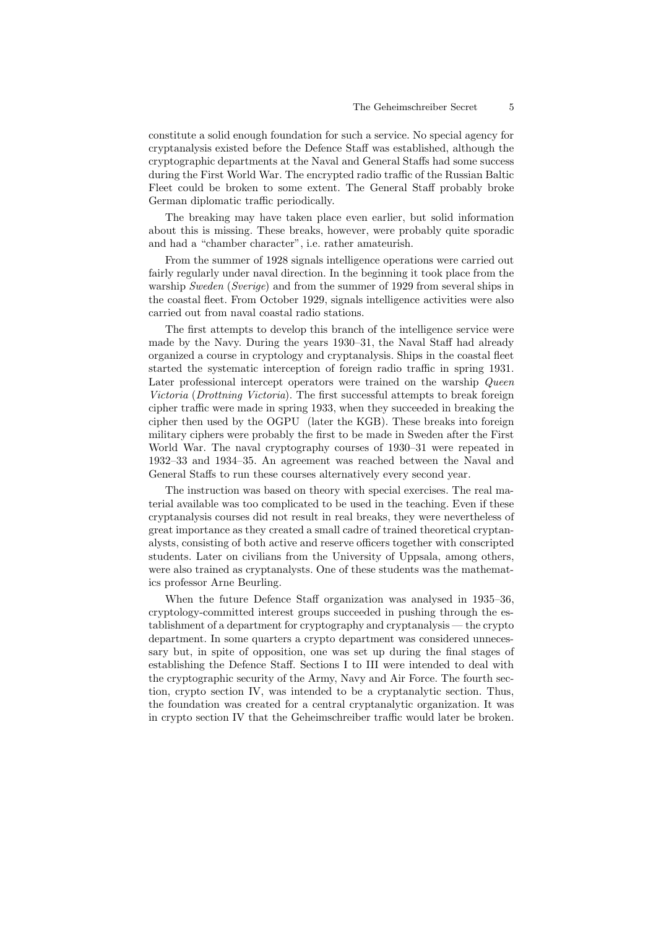constitute a solid enough foundation for such a service. No special agency for cryptanalysis existed before the Defence Staff was established, although the cryptographic departments at the Naval and General Staffs had some success during the First World War. The encrypted radio traffic of the Russian Baltic Fleet could be broken to some extent. The General Staff probably broke German diplomatic traffic periodically.

The breaking may have taken place even earlier, but solid information about this is missing. These breaks, however, were probably quite sporadic and had a "chamber character", i.e. rather amateurish.

From the summer of 1928 signals intelligence operations were carried out fairly regularly under naval direction. In the beginning it took place from the warship Sweden (Sverige) and from the summer of 1929 from several ships in the coastal fleet. From October 1929, signals intelligence activities were also carried out from naval coastal radio stations.

The first attempts to develop this branch of the intelligence service were made by the Navy. During the years 1930–31, the Naval Staff had already organized a course in cryptology and cryptanalysis. Ships in the coastal fleet started the systematic interception of foreign radio traffic in spring 1931. Later professional intercept operators were trained on the warship Queen Victoria (Drottning Victoria). The first successful attempts to break foreign cipher traffic were made in spring 1933, when they succeeded in breaking the cipher then used by the OGPU (later the KGB). These breaks into foreign military ciphers were probably the first to be made in Sweden after the First World War. The naval cryptography courses of 1930–31 were repeated in 1932–33 and 1934–35. An agreement was reached between the Naval and General Staffs to run these courses alternatively every second year.

The instruction was based on theory with special exercises. The real material available was too complicated to be used in the teaching. Even if these cryptanalysis courses did not result in real breaks, they were nevertheless of great importance as they created a small cadre of trained theoretical cryptanalysts, consisting of both active and reserve officers together with conscripted students. Later on civilians from the University of Uppsala, among others, were also trained as cryptanalysts. One of these students was the mathematics professor Arne Beurling.

When the future Defence Staff organization was analysed in 1935–36, cryptology-committed interest groups succeeded in pushing through the establishment of a department for cryptography and cryptanalysis — the crypto department. In some quarters a crypto department was considered unnecessary but, in spite of opposition, one was set up during the final stages of establishing the Defence Staff. Sections I to III were intended to deal with the cryptographic security of the Army, Navy and Air Force. The fourth section, crypto section IV, was intended to be a cryptanalytic section. Thus, the foundation was created for a central cryptanalytic organization. It was in crypto section IV that the Geheimschreiber traffic would later be broken.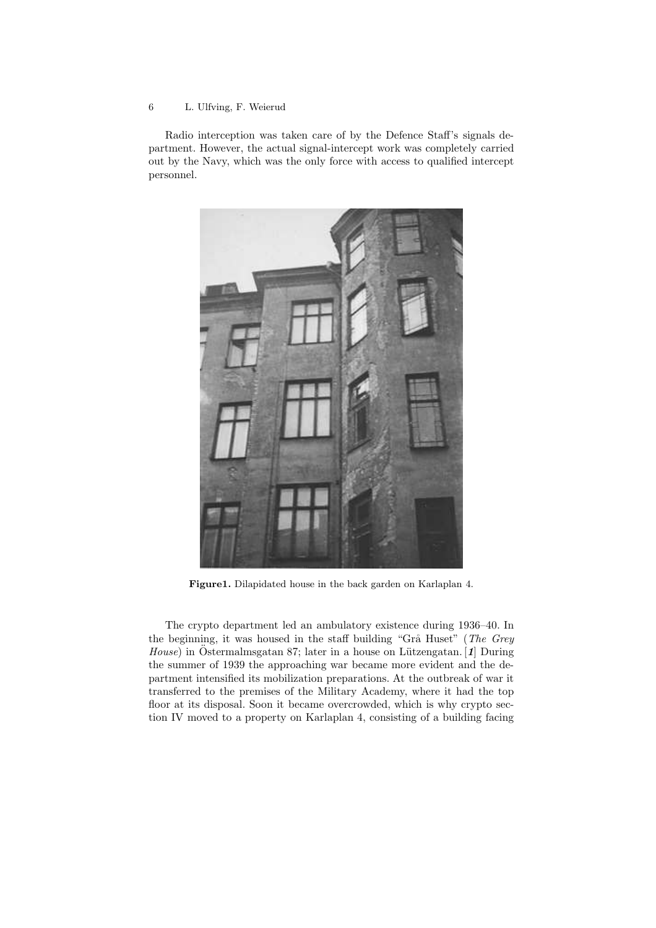Radio interception was taken care of by the Defence Staff's signals department. However, the actual signal-intercept work was completely carried out by the Navy, which was the only force with access to qualified intercept personnel.



Figure1. Dilapidated house in the back garden on Karlaplan 4.

The crypto department led an ambulatory existence during 1936–40. In the beginning, it was housed in the staff building "Grå Huset" (The Grey House) in Östermalmsgatan 87; later in a house on Lützengatan. [1] During the summer of 1939 the approaching war became more evident and the department intensified its mobilization preparations. At the outbreak of war it transferred to the premises of the Military Academy, where it had the top floor at its disposal. Soon it became overcrowded, which is why crypto section IV moved to a property on Karlaplan 4, consisting of a building facing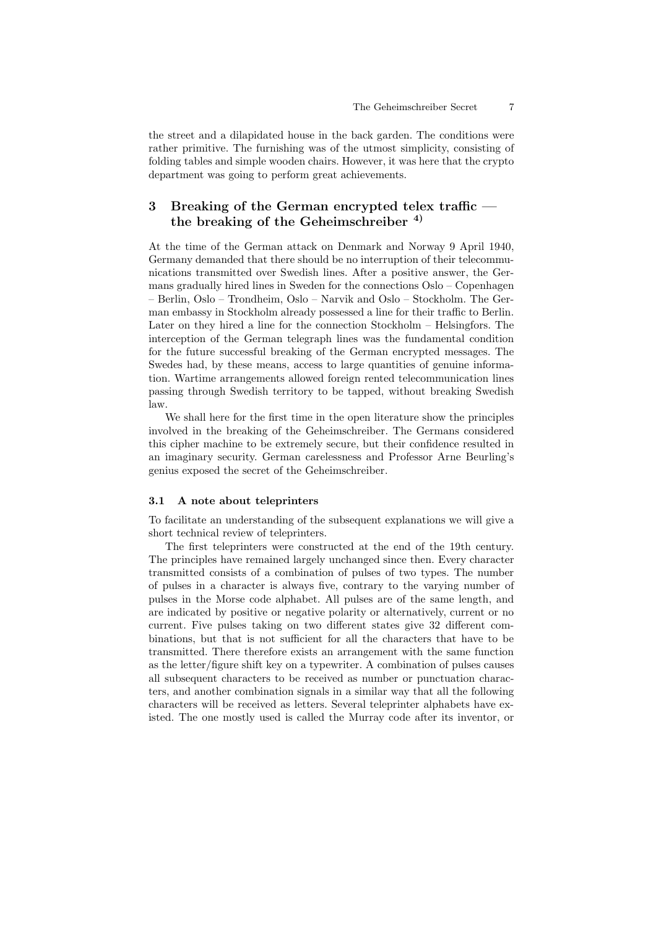the street and a dilapidated house in the back garden. The conditions were rather primitive. The furnishing was of the utmost simplicity, consisting of folding tables and simple wooden chairs. However, it was here that the crypto department was going to perform great achievements.

# 3 Breaking of the German encrypted telex traffic the breaking of the Geheimschreiber  $4$ )

At the time of the German attack on Denmark and Norway 9 April 1940, Germany demanded that there should be no interruption of their telecommunications transmitted over Swedish lines. After a positive answer, the Germans gradually hired lines in Sweden for the connections Oslo – Copenhagen – Berlin, Oslo – Trondheim, Oslo – Narvik and Oslo – Stockholm. The German embassy in Stockholm already possessed a line for their traffic to Berlin. Later on they hired a line for the connection Stockholm – Helsingfors. The interception of the German telegraph lines was the fundamental condition for the future successful breaking of the German encrypted messages. The Swedes had, by these means, access to large quantities of genuine information. Wartime arrangements allowed foreign rented telecommunication lines passing through Swedish territory to be tapped, without breaking Swedish law.

We shall here for the first time in the open literature show the principles involved in the breaking of the Geheimschreiber. The Germans considered this cipher machine to be extremely secure, but their confidence resulted in an imaginary security. German carelessness and Professor Arne Beurling's genius exposed the secret of the Geheimschreiber.

#### 3.1 A note about teleprinters

To facilitate an understanding of the subsequent explanations we will give a short technical review of teleprinters.

The first teleprinters were constructed at the end of the 19th century. The principles have remained largely unchanged since then. Every character transmitted consists of a combination of pulses of two types. The number of pulses in a character is always five, contrary to the varying number of pulses in the Morse code alphabet. All pulses are of the same length, and are indicated by positive or negative polarity or alternatively, current or no current. Five pulses taking on two different states give 32 different combinations, but that is not sufficient for all the characters that have to be transmitted. There therefore exists an arrangement with the same function as the letter/figure shift key on a typewriter. A combination of pulses causes all subsequent characters to be received as number or punctuation characters, and another combination signals in a similar way that all the following characters will be received as letters. Several teleprinter alphabets have existed. The one mostly used is called the Murray code after its inventor, or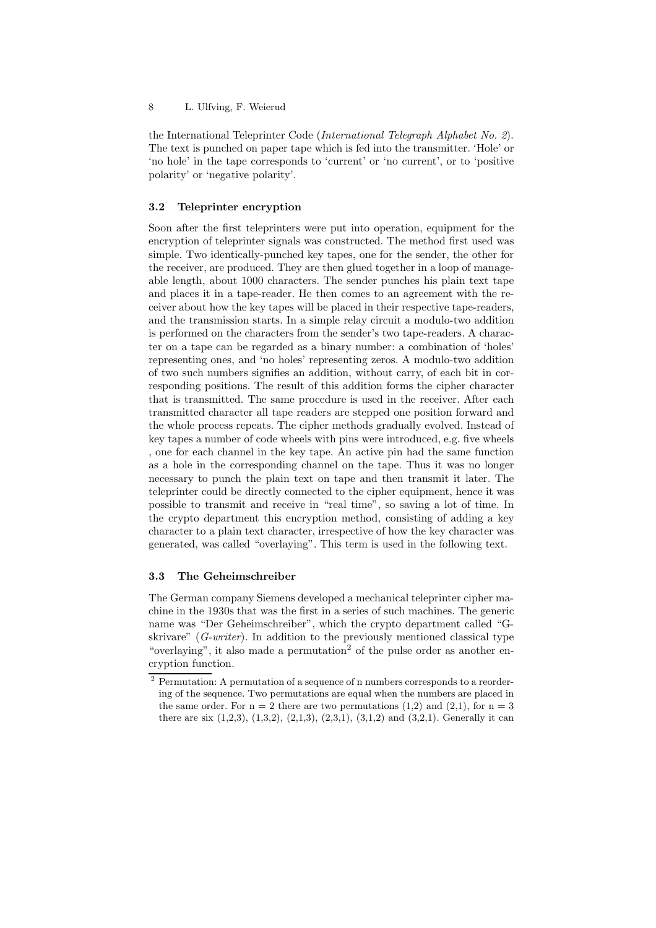the International Teleprinter Code (International Telegraph Alphabet No. 2). The text is punched on paper tape which is fed into the transmitter. 'Hole' or 'no hole' in the tape corresponds to 'current' or 'no current', or to 'positive polarity' or 'negative polarity'.

#### 3.2 Teleprinter encryption

Soon after the first teleprinters were put into operation, equipment for the encryption of teleprinter signals was constructed. The method first used was simple. Two identically-punched key tapes, one for the sender, the other for the receiver, are produced. They are then glued together in a loop of manageable length, about 1000 characters. The sender punches his plain text tape and places it in a tape-reader. He then comes to an agreement with the receiver about how the key tapes will be placed in their respective tape-readers, and the transmission starts. In a simple relay circuit a modulo-two addition is performed on the characters from the sender's two tape-readers. A character on a tape can be regarded as a binary number: a combination of 'holes' representing ones, and 'no holes' representing zeros. A modulo-two addition of two such numbers signifies an addition, without carry, of each bit in corresponding positions. The result of this addition forms the cipher character that is transmitted. The same procedure is used in the receiver. After each transmitted character all tape readers are stepped one position forward and the whole process repeats. The cipher methods gradually evolved. Instead of key tapes a number of code wheels with pins were introduced, e.g. five wheels , one for each channel in the key tape. An active pin had the same function as a hole in the corresponding channel on the tape. Thus it was no longer necessary to punch the plain text on tape and then transmit it later. The teleprinter could be directly connected to the cipher equipment, hence it was possible to transmit and receive in "real time", so saving a lot of time. In the crypto department this encryption method, consisting of adding a key character to a plain text character, irrespective of how the key character was generated, was called "overlaying". This term is used in the following text.

#### 3.3 The Geheimschreiber

The German company Siemens developed a mechanical teleprinter cipher machine in the 1930s that was the first in a series of such machines. The generic name was "Der Geheimschreiber", which the crypto department called "Gskrivare"  $(G\text{-}writer)$ . In addition to the previously mentioned classical type "overlaying", it also made a permutation<sup>2</sup> of the pulse order as another encryption function.

<sup>&</sup>lt;sup>2</sup> Permutation: A permutation of a sequence of n numbers corresponds to a reordering of the sequence. Two permutations are equal when the numbers are placed in the same order. For  $n = 2$  there are two permutations (1,2) and (2,1), for  $n = 3$ there are six  $(1,2,3), (1,3,2), (2,1,3), (2,3,1), (3,1,2)$  and  $(3,2,1)$ . Generally it can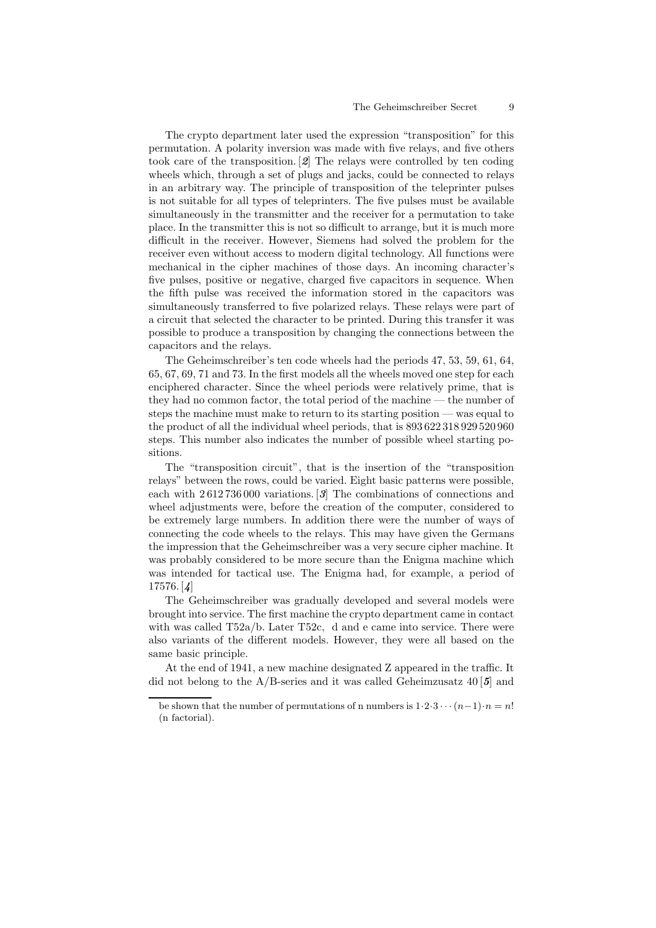#### The Geheimschreiber Secret 9

The crypto department later used the expression "transposition" for this permutation. A polarity inversion was made with five relays, and five others took care of the transposition. [2] The relays were controlled by ten coding wheels which, through a set of plugs and jacks, could be connected to relays in an arbitrary way. The principle of transposition of the teleprinter pulses is not suitable for all types of teleprinters. The five pulses must be available simultaneously in the transmitter and the receiver for a permutation to take place. In the transmitter this is not so difficult to arrange, but it is much more difficult in the receiver. However, Siemens had solved the problem for the receiver even without access to modern digital technology. All functions were mechanical in the cipher machines of those days. An incoming character's five pulses, positive or negative, charged five capacitors in sequence. When the fifth pulse was received the information stored in the capacitors was simultaneously transferred to five polarized relays. These relays were part of a circuit that selected the character to be printed. During this transfer it was possible to produce a transposition by changing the connections between the capacitors and the relays.

The Geheimschreiber's ten code wheels had the periods 47, 53, 59, 61, 64, 65, 67, 69, 71 and 73. In the first models all the wheels moved one step for each enciphered character. Since the wheel periods were relatively prime, that is they had no common factor, the total period of the machine — the number of steps the machine must make to return to its starting position — was equal to the product of all the individual wheel periods, that is 893 622 318 929 520 960 steps. This number also indicates the number of possible wheel starting positions.

The "transposition circuit", that is the insertion of the "transposition relays" between the rows, could be varied. Eight basic patterns were possible, each with 2 612 736 000 variations. [3] The combinations of connections and wheel adjustments were, before the creation of the computer, considered to be extremely large numbers. In addition there were the number of ways of connecting the code wheels to the relays. This may have given the Germans the impression that the Geheimschreiber was a very secure cipher machine. It was probably considered to be more secure than the Enigma machine which was intended for tactical use. The Enigma had, for example, a period of 17576.[4]

The Geheimschreiber was gradually developed and several models were brought into service. The first machine the crypto department came in contact with was called  $T52a/b$ . Later T52c, d and e came into service. There were also variants of the different models. However, they were all based on the same basic principle.

At the end of 1941, a new machine designated Z appeared in the traffic. It did not belong to the  $A/B$ -series and it was called Geheimzusatz  $40 \vert 5 \vert$  and

be shown that the number of permutations of n numbers is  $1 \cdot 2 \cdot 3 \cdots (n-1) \cdot n = n!$ (n factorial).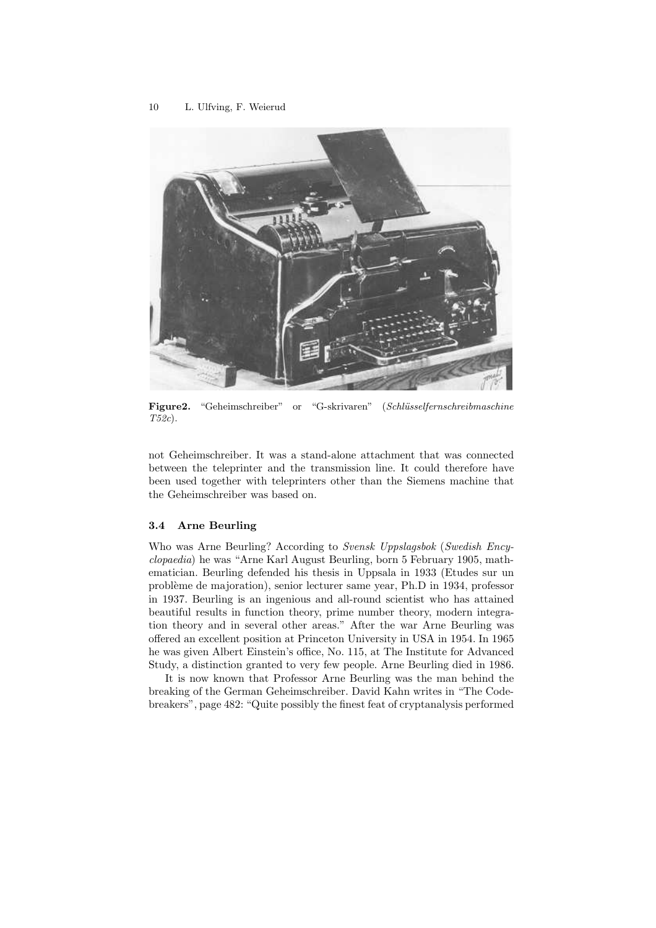

Figure2. "Geheimschreiber" or "G-skrivaren" (Schlüsselfernschreibmaschine T52c).

not Geheimschreiber. It was a stand-alone attachment that was connected between the teleprinter and the transmission line. It could therefore have been used together with teleprinters other than the Siemens machine that the Geheimschreiber was based on.

## 3.4 Arne Beurling

Who was Arne Beurling? According to Svensk Uppslagsbok (Swedish Encyclopaedia) he was "Arne Karl August Beurling, born 5 February 1905, mathematician. Beurling defended his thesis in Uppsala in 1933 (Etudes sur un probl`eme de majoration), senior lecturer same year, Ph.D in 1934, professor in 1937. Beurling is an ingenious and all-round scientist who has attained beautiful results in function theory, prime number theory, modern integration theory and in several other areas." After the war Arne Beurling was offered an excellent position at Princeton University in USA in 1954. In 1965 he was given Albert Einstein's office, No. 115, at The Institute for Advanced Study, a distinction granted to very few people. Arne Beurling died in 1986.

It is now known that Professor Arne Beurling was the man behind the breaking of the German Geheimschreiber. David Kahn writes in "The Codebreakers", page 482: "Quite possibly the finest feat of cryptanalysis performed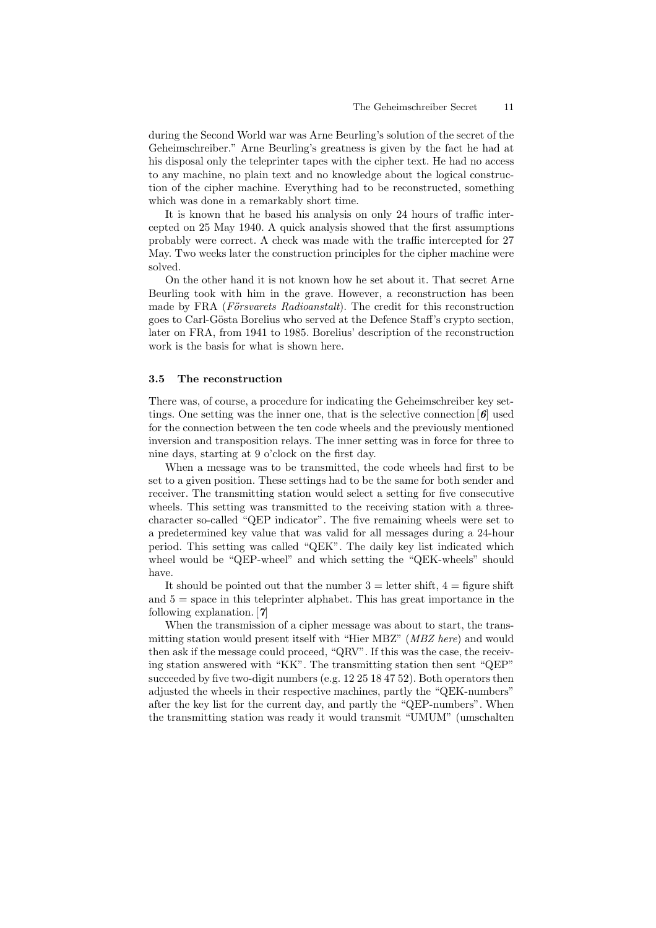during the Second World war was Arne Beurling's solution of the secret of the Geheimschreiber." Arne Beurling's greatness is given by the fact he had at his disposal only the teleprinter tapes with the cipher text. He had no access to any machine, no plain text and no knowledge about the logical construction of the cipher machine. Everything had to be reconstructed, something which was done in a remarkably short time.

It is known that he based his analysis on only 24 hours of traffic intercepted on 25 May 1940. A quick analysis showed that the first assumptions probably were correct. A check was made with the traffic intercepted for 27 May. Two weeks later the construction principles for the cipher machine were solved.

On the other hand it is not known how he set about it. That secret Arne Beurling took with him in the grave. However, a reconstruction has been made by FRA (Försvarets Radioanstalt). The credit for this reconstruction goes to Carl-Gösta Borelius who served at the Defence Staff's crypto section, later on FRA, from 1941 to 1985. Borelius' description of the reconstruction work is the basis for what is shown here.

#### 3.5 The reconstruction

There was, of course, a procedure for indicating the Geheimschreiber key settings. One setting was the inner one, that is the selective connection  $\lbrack 6 \rbrack$  used for the connection between the ten code wheels and the previously mentioned inversion and transposition relays. The inner setting was in force for three to nine days, starting at 9 o'clock on the first day.

When a message was to be transmitted, the code wheels had first to be set to a given position. These settings had to be the same for both sender and receiver. The transmitting station would select a setting for five consecutive wheels. This setting was transmitted to the receiving station with a threecharacter so-called "QEP indicator". The five remaining wheels were set to a predetermined key value that was valid for all messages during a 24-hour period. This setting was called "QEK". The daily key list indicated which wheel would be "QEP-wheel" and which setting the "QEK-wheels" should have.

It should be pointed out that the number  $3 =$  letter shift,  $4 =$  figure shift and  $5 =$  space in this teleprinter alphabet. This has great importance in the following explanation. [7]

When the transmission of a cipher message was about to start, the transmitting station would present itself with "Hier MBZ" (MBZ here) and would then ask if the message could proceed, "QRV". If this was the case, the receiving station answered with "KK". The transmitting station then sent "QEP" succeeded by five two-digit numbers (e.g. 12 25 18 47 52). Both operators then adjusted the wheels in their respective machines, partly the "QEK-numbers" after the key list for the current day, and partly the "QEP-numbers". When the transmitting station was ready it would transmit "UMUM" (umschalten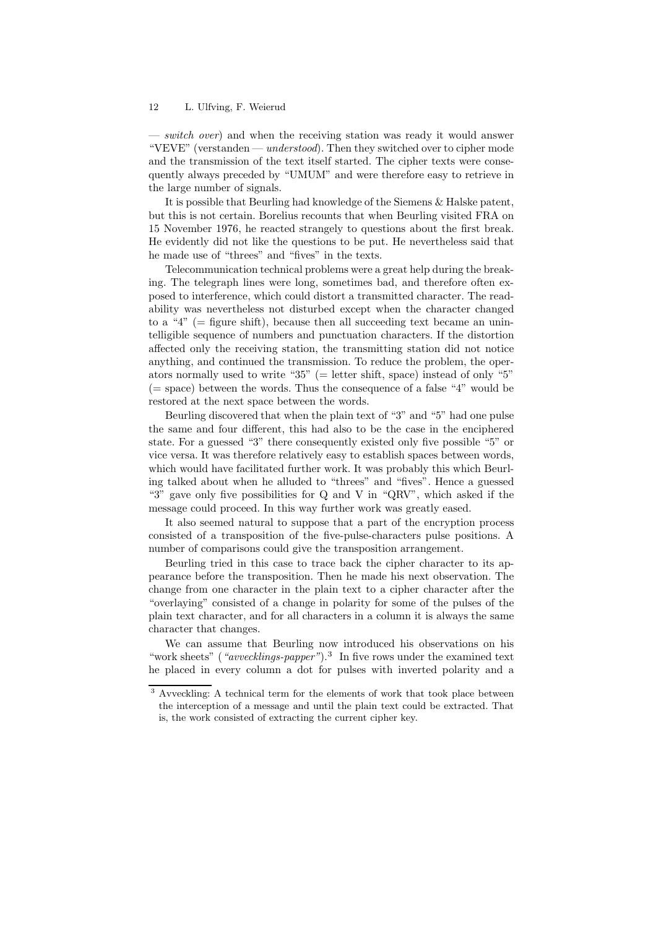- *switch over*) and when the receiving station was ready it would answer "VEVE" (verstanden — understood). Then they switched over to cipher mode and the transmission of the text itself started. The cipher texts were consequently always preceded by "UMUM" and were therefore easy to retrieve in the large number of signals.

It is possible that Beurling had knowledge of the Siemens & Halske patent, but this is not certain. Borelius recounts that when Beurling visited FRA on 15 November 1976, he reacted strangely to questions about the first break. He evidently did not like the questions to be put. He nevertheless said that he made use of "threes" and "fives" in the texts.

Telecommunication technical problems were a great help during the breaking. The telegraph lines were long, sometimes bad, and therefore often exposed to interference, which could distort a transmitted character. The readability was nevertheless not disturbed except when the character changed to a "4" (= figure shift), because then all succeeding text became an unintelligible sequence of numbers and punctuation characters. If the distortion affected only the receiving station, the transmitting station did not notice anything, and continued the transmission. To reduce the problem, the operators normally used to write "35" (= letter shift, space) instead of only "5"  $(=$  space) between the words. Thus the consequence of a false "4" would be restored at the next space between the words.

Beurling discovered that when the plain text of "3" and "5" had one pulse the same and four different, this had also to be the case in the enciphered state. For a guessed "3" there consequently existed only five possible "5" or vice versa. It was therefore relatively easy to establish spaces between words, which would have facilitated further work. It was probably this which Beurling talked about when he alluded to "threes" and "fives". Hence a guessed "3" gave only five possibilities for Q and V in "QRV", which asked if the message could proceed. In this way further work was greatly eased.

It also seemed natural to suppose that a part of the encryption process consisted of a transposition of the five-pulse-characters pulse positions. A number of comparisons could give the transposition arrangement.

Beurling tried in this case to trace back the cipher character to its appearance before the transposition. Then he made his next observation. The change from one character in the plain text to a cipher character after the "overlaying" consisted of a change in polarity for some of the pulses of the plain text character, and for all characters in a column it is always the same character that changes.

We can assume that Beurling now introduced his observations on his "work sheets" ("avvecklings-papper").<sup>3</sup> In five rows under the examined text he placed in every column a dot for pulses with inverted polarity and a

<sup>3</sup> Avveckling: A technical term for the elements of work that took place between the interception of a message and until the plain text could be extracted. That is, the work consisted of extracting the current cipher key.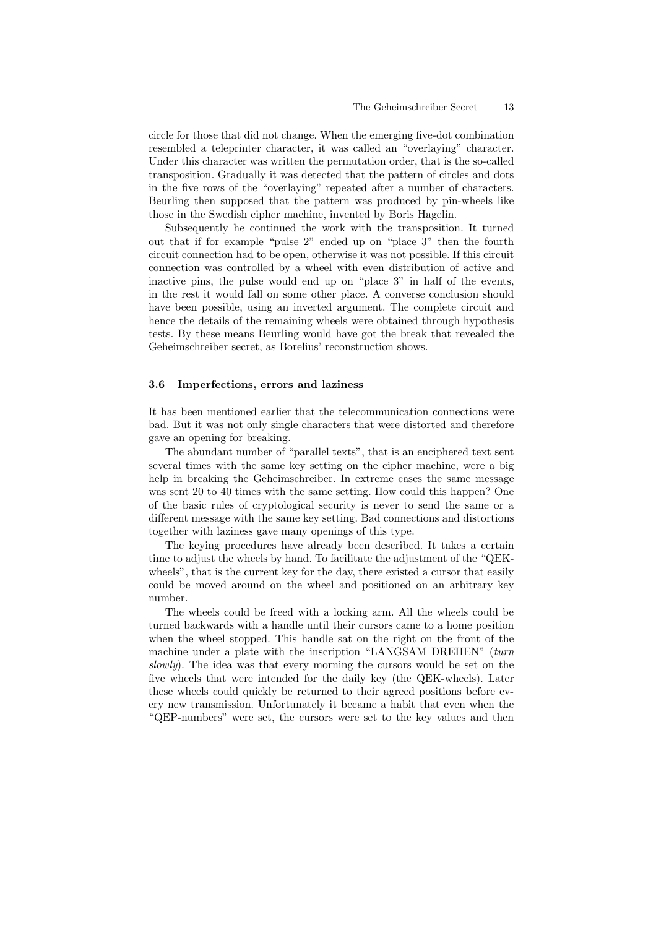circle for those that did not change. When the emerging five-dot combination resembled a teleprinter character, it was called an "overlaying" character. Under this character was written the permutation order, that is the so-called transposition. Gradually it was detected that the pattern of circles and dots in the five rows of the "overlaying" repeated after a number of characters. Beurling then supposed that the pattern was produced by pin-wheels like those in the Swedish cipher machine, invented by Boris Hagelin.

Subsequently he continued the work with the transposition. It turned out that if for example "pulse 2" ended up on "place 3" then the fourth circuit connection had to be open, otherwise it was not possible. If this circuit connection was controlled by a wheel with even distribution of active and inactive pins, the pulse would end up on "place 3" in half of the events, in the rest it would fall on some other place. A converse conclusion should have been possible, using an inverted argument. The complete circuit and hence the details of the remaining wheels were obtained through hypothesis tests. By these means Beurling would have got the break that revealed the Geheimschreiber secret, as Borelius' reconstruction shows.

#### 3.6 Imperfections, errors and laziness

It has been mentioned earlier that the telecommunication connections were bad. But it was not only single characters that were distorted and therefore gave an opening for breaking.

The abundant number of "parallel texts", that is an enciphered text sent several times with the same key setting on the cipher machine, were a big help in breaking the Geheimschreiber. In extreme cases the same message was sent 20 to 40 times with the same setting. How could this happen? One of the basic rules of cryptological security is never to send the same or a different message with the same key setting. Bad connections and distortions together with laziness gave many openings of this type.

The keying procedures have already been described. It takes a certain time to adjust the wheels by hand. To facilitate the adjustment of the "QEKwheels", that is the current key for the day, there existed a cursor that easily could be moved around on the wheel and positioned on an arbitrary key number.

The wheels could be freed with a locking arm. All the wheels could be turned backwards with a handle until their cursors came to a home position when the wheel stopped. This handle sat on the right on the front of the machine under a plate with the inscription "LANGSAM DREHEN" (turn slowly). The idea was that every morning the cursors would be set on the five wheels that were intended for the daily key (the QEK-wheels). Later these wheels could quickly be returned to their agreed positions before every new transmission. Unfortunately it became a habit that even when the "QEP-numbers" were set, the cursors were set to the key values and then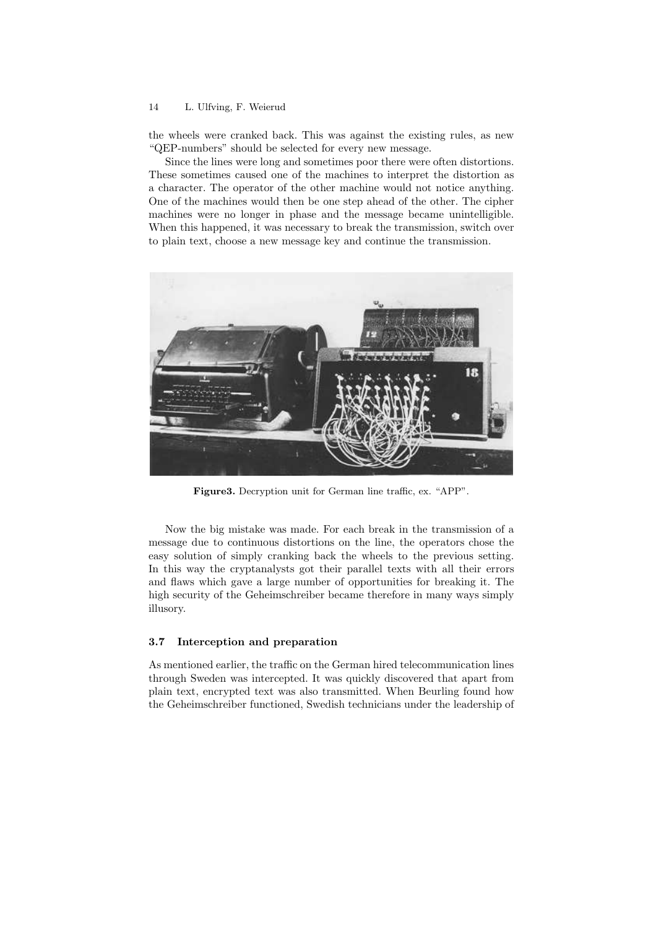the wheels were cranked back. This was against the existing rules, as new "QEP-numbers" should be selected for every new message.

Since the lines were long and sometimes poor there were often distortions. These sometimes caused one of the machines to interpret the distortion as a character. The operator of the other machine would not notice anything. One of the machines would then be one step ahead of the other. The cipher machines were no longer in phase and the message became unintelligible. When this happened, it was necessary to break the transmission, switch over to plain text, choose a new message key and continue the transmission.



Figure3. Decryption unit for German line traffic, ex. "APP".

Now the big mistake was made. For each break in the transmission of a message due to continuous distortions on the line, the operators chose the easy solution of simply cranking back the wheels to the previous setting. In this way the cryptanalysts got their parallel texts with all their errors and flaws which gave a large number of opportunities for breaking it. The high security of the Geheimschreiber became therefore in many ways simply illusory.

#### 3.7 Interception and preparation

As mentioned earlier, the traffic on the German hired telecommunication lines through Sweden was intercepted. It was quickly discovered that apart from plain text, encrypted text was also transmitted. When Beurling found how the Geheimschreiber functioned, Swedish technicians under the leadership of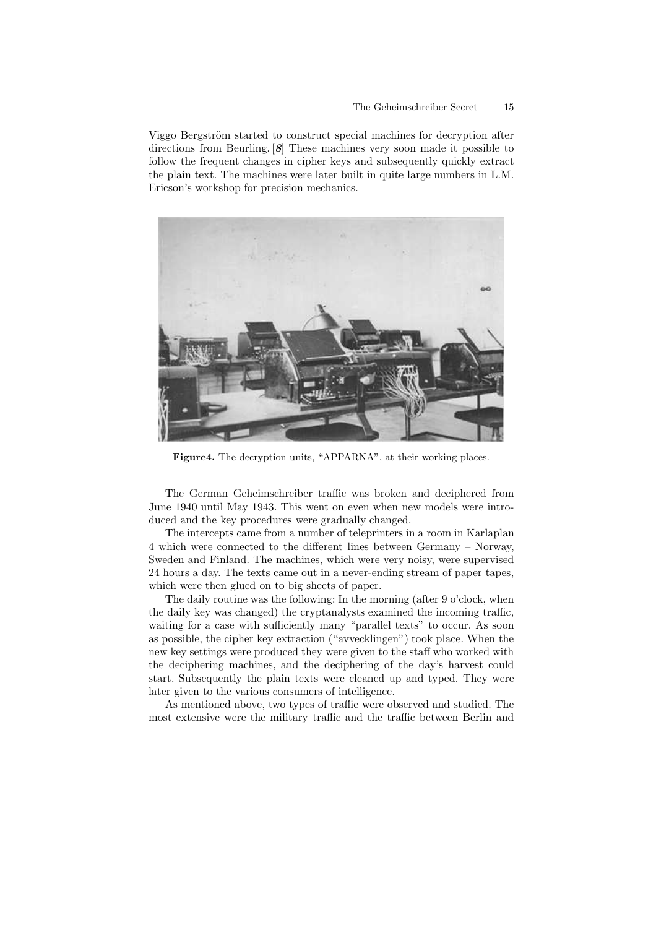Viggo Bergström started to construct special machines for decryption after directions from Beurling. [8] These machines very soon made it possible to follow the frequent changes in cipher keys and subsequently quickly extract the plain text. The machines were later built in quite large numbers in L.M. Ericson's workshop for precision mechanics.



Figure4. The decryption units, "APPARNA", at their working places.

The German Geheimschreiber traffic was broken and deciphered from June 1940 until May 1943. This went on even when new models were introduced and the key procedures were gradually changed.

The intercepts came from a number of teleprinters in a room in Karlaplan 4 which were connected to the different lines between Germany – Norway, Sweden and Finland. The machines, which were very noisy, were supervised 24 hours a day. The texts came out in a never-ending stream of paper tapes, which were then glued on to big sheets of paper.

The daily routine was the following: In the morning (after 9 o'clock, when the daily key was changed) the cryptanalysts examined the incoming traffic, waiting for a case with sufficiently many "parallel texts" to occur. As soon as possible, the cipher key extraction ("avvecklingen") took place. When the new key settings were produced they were given to the staff who worked with the deciphering machines, and the deciphering of the day's harvest could start. Subsequently the plain texts were cleaned up and typed. They were later given to the various consumers of intelligence.

As mentioned above, two types of traffic were observed and studied. The most extensive were the military traffic and the traffic between Berlin and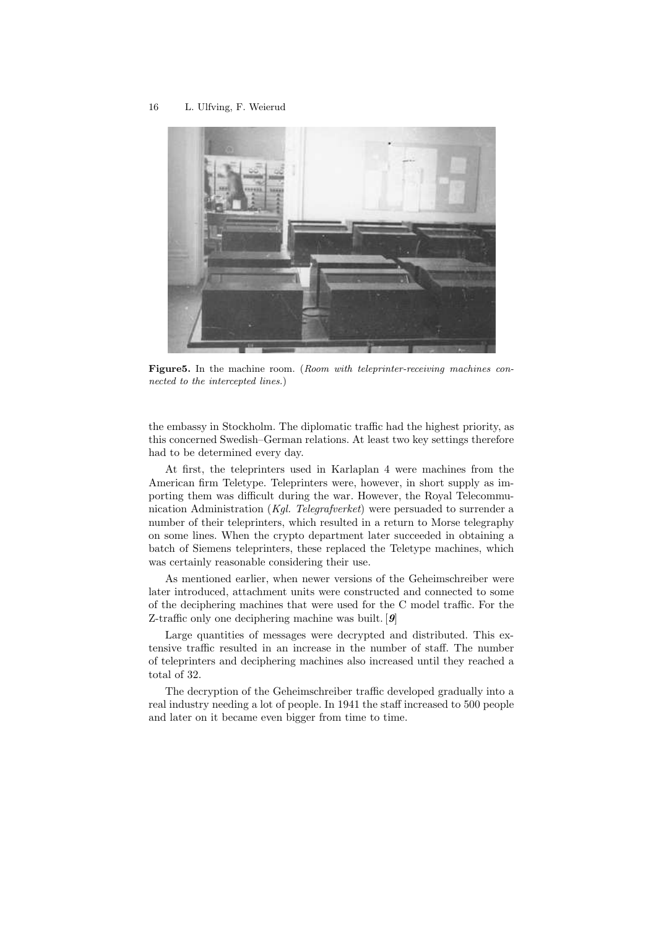

Figure5. In the machine room. (Room with teleprinter-receiving machines connected to the intercepted lines.)

the embassy in Stockholm. The diplomatic traffic had the highest priority, as this concerned Swedish–German relations. At least two key settings therefore had to be determined every day.

At first, the teleprinters used in Karlaplan 4 were machines from the American firm Teletype. Teleprinters were, however, in short supply as importing them was difficult during the war. However, the Royal Telecommunication Administration (Kgl. Telegrafverket) were persuaded to surrender a number of their teleprinters, which resulted in a return to Morse telegraphy on some lines. When the crypto department later succeeded in obtaining a batch of Siemens teleprinters, these replaced the Teletype machines, which was certainly reasonable considering their use.

As mentioned earlier, when newer versions of the Geheimschreiber were later introduced, attachment units were constructed and connected to some of the deciphering machines that were used for the C model traffic. For the Z-traffic only one deciphering machine was built. [9]

Large quantities of messages were decrypted and distributed. This extensive traffic resulted in an increase in the number of staff. The number of teleprinters and deciphering machines also increased until they reached a total of 32.

The decryption of the Geheimschreiber traffic developed gradually into a real industry needing a lot of people. In 1941 the staff increased to 500 people and later on it became even bigger from time to time.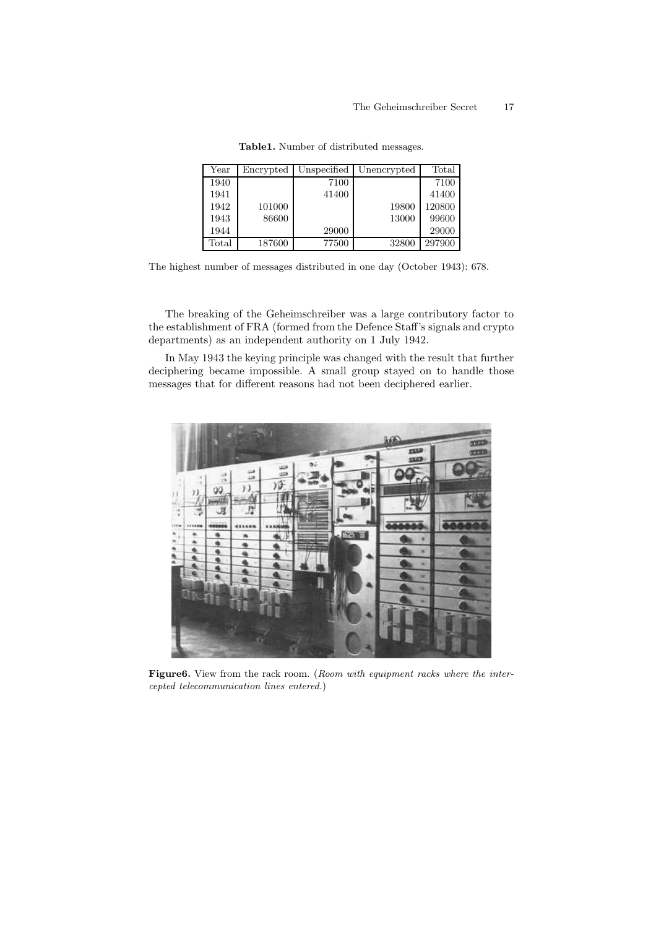## The Geheimschreiber Secret 17

| Year  | Encrypted | Unspecified | Unencrypted | Total  |
|-------|-----------|-------------|-------------|--------|
| 1940  |           | 7100        |             | 7100   |
| 1941  |           | 41400       |             | 41400  |
| 1942  | 101000    |             | 19800       | 120800 |
| 1943  | 86600     |             | 13000       | 99600  |
| 1944  |           | 29000       |             | 29000  |
| Total | 187600    | 77500       | 32800       | 297900 |

Table1. Number of distributed messages.

The breaking of the Geheimschreiber was a large contributory factor to the establishment of FRA (formed from the Defence Staff's signals and crypto departments) as an independent authority on 1 July 1942.

In May 1943 the keying principle was changed with the result that further deciphering became impossible. A small group stayed on to handle those messages that for different reasons had not been deciphered earlier.



Figure6. View from the rack room. (Room with equipment racks where the intercepted telecommunication lines entered.)

The highest number of messages distributed in one day (October 1943): 678.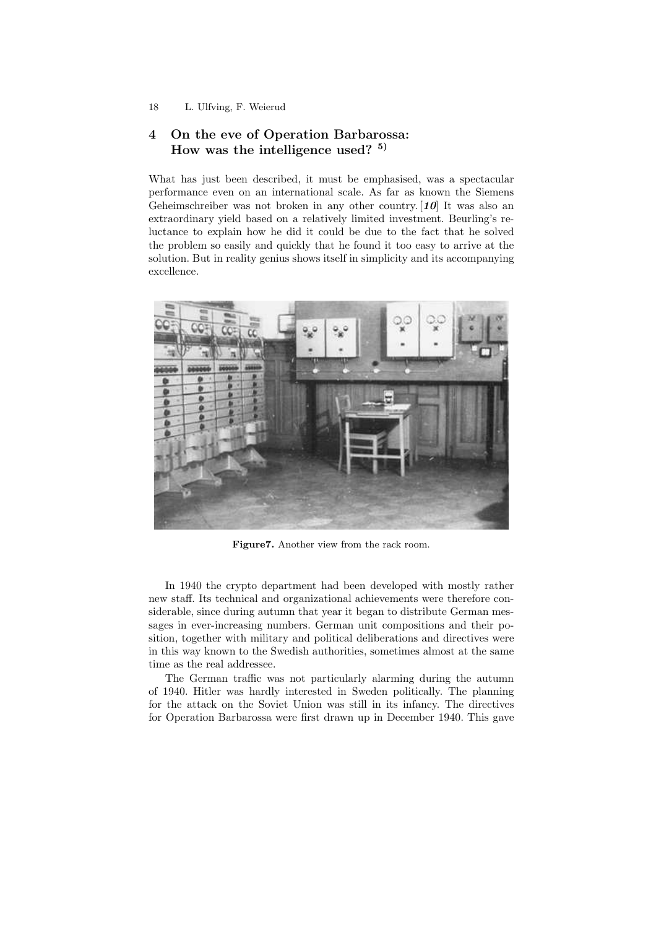# 4 On the eve of Operation Barbarossa: How was the intelligence used? 5)

What has just been described, it must be emphasised, was a spectacular performance even on an international scale. As far as known the Siemens Geheimschreiber was not broken in any other country.  $[10]$  It was also an extraordinary yield based on a relatively limited investment. Beurling's reluctance to explain how he did it could be due to the fact that he solved the problem so easily and quickly that he found it too easy to arrive at the solution. But in reality genius shows itself in simplicity and its accompanying excellence.



Figure7. Another view from the rack room.

In 1940 the crypto department had been developed with mostly rather new staff. Its technical and organizational achievements were therefore considerable, since during autumn that year it began to distribute German messages in ever-increasing numbers. German unit compositions and their position, together with military and political deliberations and directives were in this way known to the Swedish authorities, sometimes almost at the same time as the real addressee.

The German traffic was not particularly alarming during the autumn of 1940. Hitler was hardly interested in Sweden politically. The planning for the attack on the Soviet Union was still in its infancy. The directives for Operation Barbarossa were first drawn up in December 1940. This gave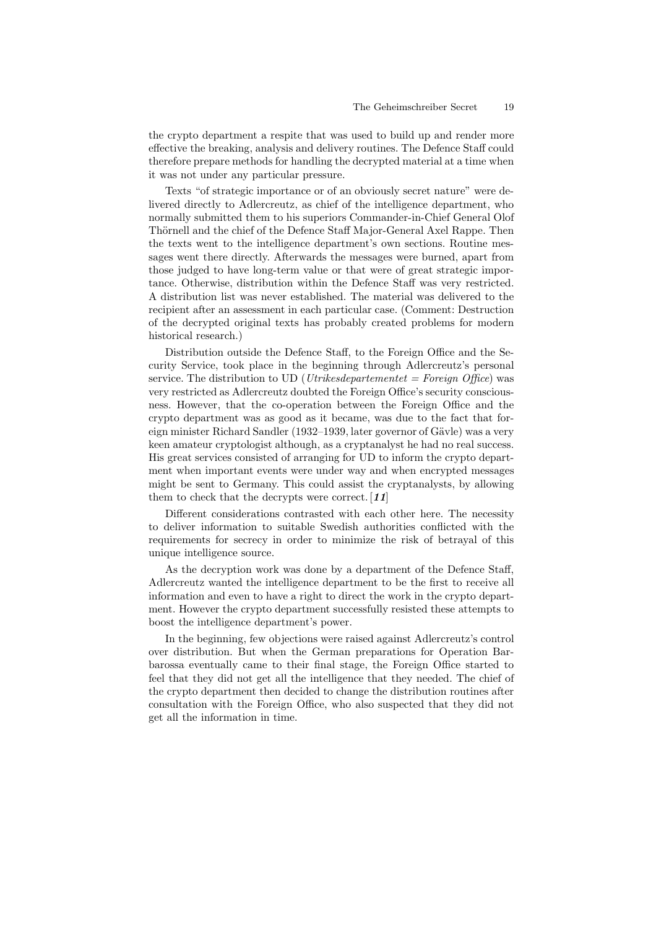the crypto department a respite that was used to build up and render more effective the breaking, analysis and delivery routines. The Defence Staff could therefore prepare methods for handling the decrypted material at a time when it was not under any particular pressure.

Texts "of strategic importance or of an obviously secret nature" were delivered directly to Adlercreutz, as chief of the intelligence department, who normally submitted them to his superiors Commander-in-Chief General Olof Thörnell and the chief of the Defence Staff Major-General Axel Rappe. Then the texts went to the intelligence department's own sections. Routine messages went there directly. Afterwards the messages were burned, apart from those judged to have long-term value or that were of great strategic importance. Otherwise, distribution within the Defence Staff was very restricted. A distribution list was never established. The material was delivered to the recipient after an assessment in each particular case. (Comment: Destruction of the decrypted original texts has probably created problems for modern historical research.)

Distribution outside the Defence Staff, to the Foreign Office and the Security Service, took place in the beginning through Adlercreutz's personal service. The distribution to UD (*Utrikesdepartementet = Foreign Office*) was very restricted as Adlercreutz doubted the Foreign Office's security consciousness. However, that the co-operation between the Foreign Office and the crypto department was as good as it became, was due to the fact that foreign minister Richard Sandler (1932–1939, later governor of Gävle) was a very keen amateur cryptologist although, as a cryptanalyst he had no real success. His great services consisted of arranging for UD to inform the crypto department when important events were under way and when encrypted messages might be sent to Germany. This could assist the cryptanalysts, by allowing them to check that the decrypts were correct.  $[11]$ 

Different considerations contrasted with each other here. The necessity to deliver information to suitable Swedish authorities conflicted with the requirements for secrecy in order to minimize the risk of betrayal of this unique intelligence source.

As the decryption work was done by a department of the Defence Staff, Adlercreutz wanted the intelligence department to be the first to receive all information and even to have a right to direct the work in the crypto department. However the crypto department successfully resisted these attempts to boost the intelligence department's power.

In the beginning, few objections were raised against Adlercreutz's control over distribution. But when the German preparations for Operation Barbarossa eventually came to their final stage, the Foreign Office started to feel that they did not get all the intelligence that they needed. The chief of the crypto department then decided to change the distribution routines after consultation with the Foreign Office, who also suspected that they did not get all the information in time.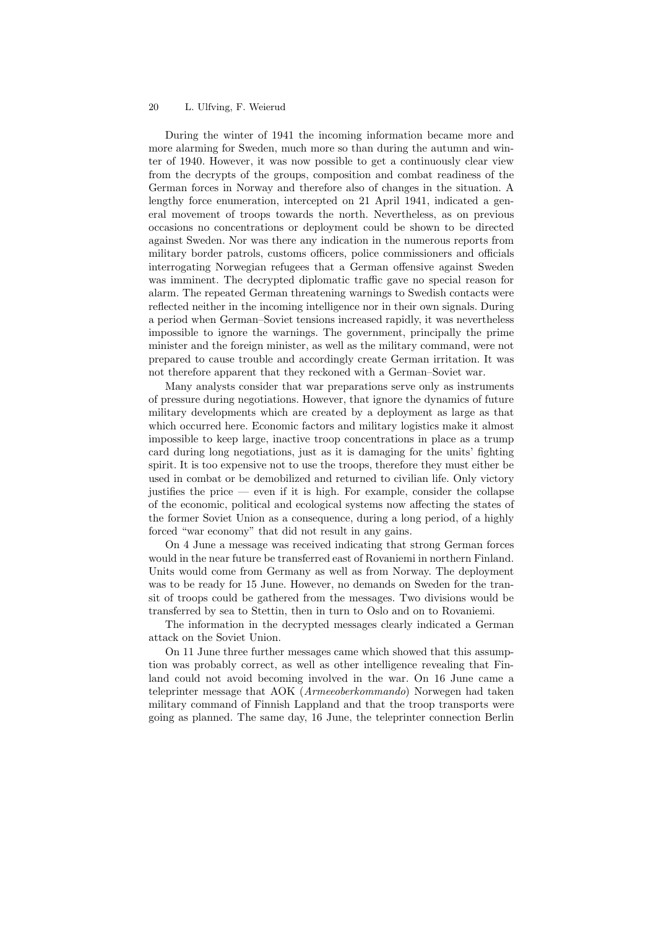During the winter of 1941 the incoming information became more and more alarming for Sweden, much more so than during the autumn and winter of 1940. However, it was now possible to get a continuously clear view from the decrypts of the groups, composition and combat readiness of the German forces in Norway and therefore also of changes in the situation. A lengthy force enumeration, intercepted on 21 April 1941, indicated a general movement of troops towards the north. Nevertheless, as on previous occasions no concentrations or deployment could be shown to be directed against Sweden. Nor was there any indication in the numerous reports from military border patrols, customs officers, police commissioners and officials interrogating Norwegian refugees that a German offensive against Sweden was imminent. The decrypted diplomatic traffic gave no special reason for alarm. The repeated German threatening warnings to Swedish contacts were reflected neither in the incoming intelligence nor in their own signals. During a period when German–Soviet tensions increased rapidly, it was nevertheless impossible to ignore the warnings. The government, principally the prime minister and the foreign minister, as well as the military command, were not prepared to cause trouble and accordingly create German irritation. It was not therefore apparent that they reckoned with a German–Soviet war.

Many analysts consider that war preparations serve only as instruments of pressure during negotiations. However, that ignore the dynamics of future military developments which are created by a deployment as large as that which occurred here. Economic factors and military logistics make it almost impossible to keep large, inactive troop concentrations in place as a trump card during long negotiations, just as it is damaging for the units' fighting spirit. It is too expensive not to use the troops, therefore they must either be used in combat or be demobilized and returned to civilian life. Only victory justifies the price — even if it is high. For example, consider the collapse of the economic, political and ecological systems now affecting the states of the former Soviet Union as a consequence, during a long period, of a highly forced "war economy" that did not result in any gains.

On 4 June a message was received indicating that strong German forces would in the near future be transferred east of Rovaniemi in northern Finland. Units would come from Germany as well as from Norway. The deployment was to be ready for 15 June. However, no demands on Sweden for the transit of troops could be gathered from the messages. Two divisions would be transferred by sea to Stettin, then in turn to Oslo and on to Rovaniemi.

The information in the decrypted messages clearly indicated a German attack on the Soviet Union.

On 11 June three further messages came which showed that this assumption was probably correct, as well as other intelligence revealing that Finland could not avoid becoming involved in the war. On 16 June came a teleprinter message that AOK (Armeeoberkommando) Norwegen had taken military command of Finnish Lappland and that the troop transports were going as planned. The same day, 16 June, the teleprinter connection Berlin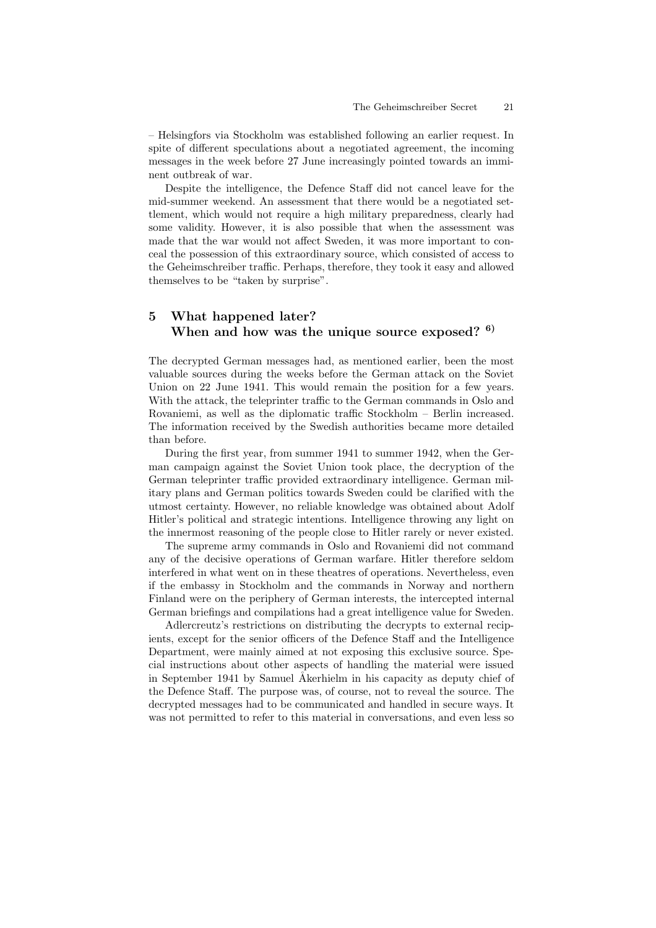– Helsingfors via Stockholm was established following an earlier request. In spite of different speculations about a negotiated agreement, the incoming messages in the week before 27 June increasingly pointed towards an imminent outbreak of war.

Despite the intelligence, the Defence Staff did not cancel leave for the mid-summer weekend. An assessment that there would be a negotiated settlement, which would not require a high military preparedness, clearly had some validity. However, it is also possible that when the assessment was made that the war would not affect Sweden, it was more important to conceal the possession of this extraordinary source, which consisted of access to the Geheimschreiber traffic. Perhaps, therefore, they took it easy and allowed themselves to be "taken by surprise".

# 5 What happened later? When and how was the unique source exposed? <sup>6)</sup>

The decrypted German messages had, as mentioned earlier, been the most valuable sources during the weeks before the German attack on the Soviet Union on 22 June 1941. This would remain the position for a few years. With the attack, the teleprinter traffic to the German commands in Oslo and Rovaniemi, as well as the diplomatic traffic Stockholm – Berlin increased. The information received by the Swedish authorities became more detailed than before.

During the first year, from summer 1941 to summer 1942, when the German campaign against the Soviet Union took place, the decryption of the German teleprinter traffic provided extraordinary intelligence. German military plans and German politics towards Sweden could be clarified with the utmost certainty. However, no reliable knowledge was obtained about Adolf Hitler's political and strategic intentions. Intelligence throwing any light on the innermost reasoning of the people close to Hitler rarely or never existed.

The supreme army commands in Oslo and Rovaniemi did not command any of the decisive operations of German warfare. Hitler therefore seldom interfered in what went on in these theatres of operations. Nevertheless, even if the embassy in Stockholm and the commands in Norway and northern Finland were on the periphery of German interests, the intercepted internal German briefings and compilations had a great intelligence value for Sweden.

Adlercreutz's restrictions on distributing the decrypts to external recipients, except for the senior officers of the Defence Staff and the Intelligence Department, were mainly aimed at not exposing this exclusive source. Special instructions about other aspects of handling the material were issued in September 1941 by Samuel Åkerhielm in his capacity as deputy chief of the Defence Staff. The purpose was, of course, not to reveal the source. The decrypted messages had to be communicated and handled in secure ways. It was not permitted to refer to this material in conversations, and even less so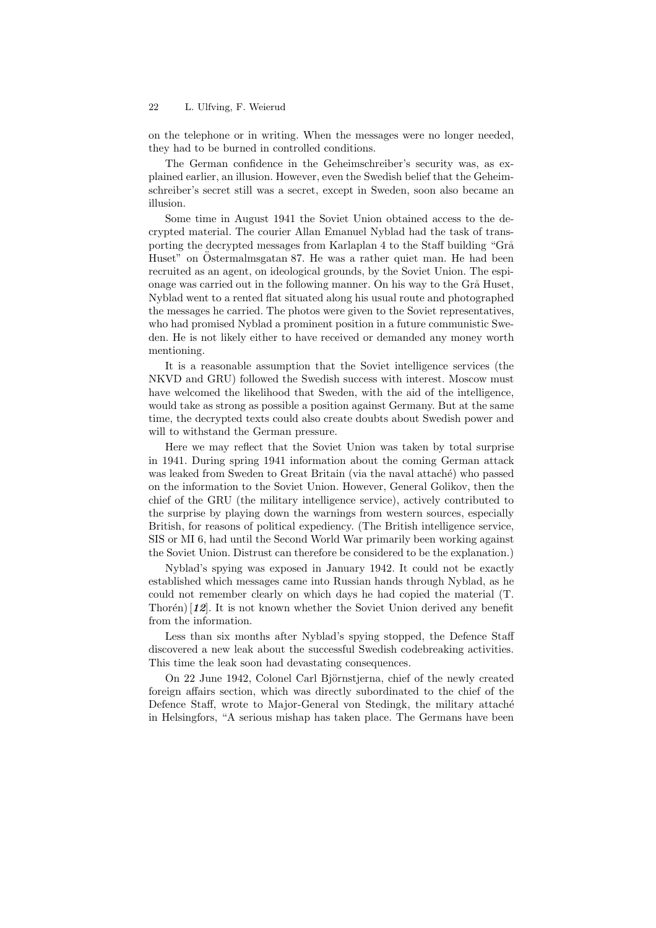on the telephone or in writing. When the messages were no longer needed, they had to be burned in controlled conditions.

The German confidence in the Geheimschreiber's security was, as explained earlier, an illusion. However, even the Swedish belief that the Geheimschreiber's secret still was a secret, except in Sweden, soon also became an illusion.

Some time in August 1941 the Soviet Union obtained access to the decrypted material. The courier Allan Emanuel Nyblad had the task of transporting the decrypted messages from Karlaplan 4 to the Staff building "Grå Huset" on Östermalmsgatan 87. He was a rather quiet man. He had been recruited as an agent, on ideological grounds, by the Soviet Union. The espionage was carried out in the following manner. On his way to the Grå Huset, Nyblad went to a rented flat situated along his usual route and photographed the messages he carried. The photos were given to the Soviet representatives, who had promised Nyblad a prominent position in a future communistic Sweden. He is not likely either to have received or demanded any money worth mentioning.

It is a reasonable assumption that the Soviet intelligence services (the NKVD and GRU) followed the Swedish success with interest. Moscow must have welcomed the likelihood that Sweden, with the aid of the intelligence, would take as strong as possible a position against Germany. But at the same time, the decrypted texts could also create doubts about Swedish power and will to withstand the German pressure.

Here we may reflect that the Soviet Union was taken by total surprise in 1941. During spring 1941 information about the coming German attack was leaked from Sweden to Great Britain (via the naval attaché) who passed on the information to the Soviet Union. However, General Golikov, then the chief of the GRU (the military intelligence service), actively contributed to the surprise by playing down the warnings from western sources, especially British, for reasons of political expediency. (The British intelligence service, SIS or MI 6, had until the Second World War primarily been working against the Soviet Union. Distrust can therefore be considered to be the explanation.)

Nyblad's spying was exposed in January 1942. It could not be exactly established which messages came into Russian hands through Nyblad, as he could not remember clearly on which days he had copied the material (T. Thorén) $[12]$ . It is not known whether the Soviet Union derived any benefit from the information.

Less than six months after Nyblad's spying stopped, the Defence Staff discovered a new leak about the successful Swedish codebreaking activities. This time the leak soon had devastating consequences.

On 22 June 1942, Colonel Carl Björnstjerna, chief of the newly created foreign affairs section, which was directly subordinated to the chief of the Defence Staff, wrote to Major-General von Stedingk, the military attaché in Helsingfors, "A serious mishap has taken place. The Germans have been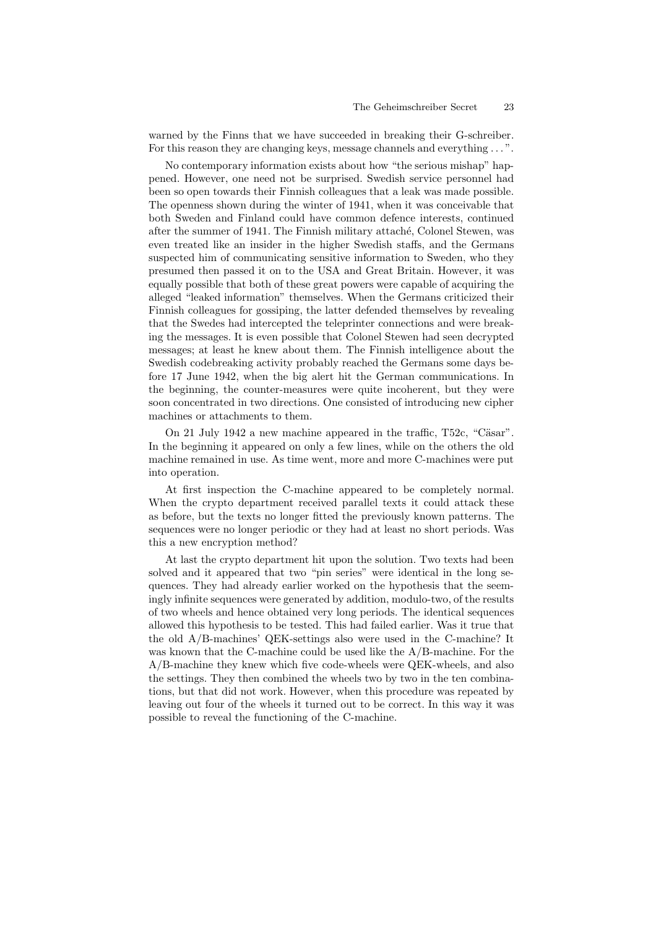warned by the Finns that we have succeeded in breaking their G-schreiber. For this reason they are changing keys, message channels and everything . . . ".

No contemporary information exists about how "the serious mishap" happened. However, one need not be surprised. Swedish service personnel had been so open towards their Finnish colleagues that a leak was made possible. The openness shown during the winter of 1941, when it was conceivable that both Sweden and Finland could have common defence interests, continued after the summer of 1941. The Finnish military attaché, Colonel Stewen, was even treated like an insider in the higher Swedish staffs, and the Germans suspected him of communicating sensitive information to Sweden, who they presumed then passed it on to the USA and Great Britain. However, it was equally possible that both of these great powers were capable of acquiring the alleged "leaked information" themselves. When the Germans criticized their Finnish colleagues for gossiping, the latter defended themselves by revealing that the Swedes had intercepted the teleprinter connections and were breaking the messages. It is even possible that Colonel Stewen had seen decrypted messages; at least he knew about them. The Finnish intelligence about the Swedish codebreaking activity probably reached the Germans some days before 17 June 1942, when the big alert hit the German communications. In the beginning, the counter-measures were quite incoherent, but they were soon concentrated in two directions. One consisted of introducing new cipher machines or attachments to them.

On 21 July 1942 a new machine appeared in the traffic, T52c, "Cäsar". In the beginning it appeared on only a few lines, while on the others the old machine remained in use. As time went, more and more C-machines were put into operation.

At first inspection the C-machine appeared to be completely normal. When the crypto department received parallel texts it could attack these as before, but the texts no longer fitted the previously known patterns. The sequences were no longer periodic or they had at least no short periods. Was this a new encryption method?

At last the crypto department hit upon the solution. Two texts had been solved and it appeared that two "pin series" were identical in the long sequences. They had already earlier worked on the hypothesis that the seemingly infinite sequences were generated by addition, modulo-two, of the results of two wheels and hence obtained very long periods. The identical sequences allowed this hypothesis to be tested. This had failed earlier. Was it true that the old A/B-machines' QEK-settings also were used in the C-machine? It was known that the C-machine could be used like the A/B-machine. For the A/B-machine they knew which five code-wheels were QEK-wheels, and also the settings. They then combined the wheels two by two in the ten combinations, but that did not work. However, when this procedure was repeated by leaving out four of the wheels it turned out to be correct. In this way it was possible to reveal the functioning of the C-machine.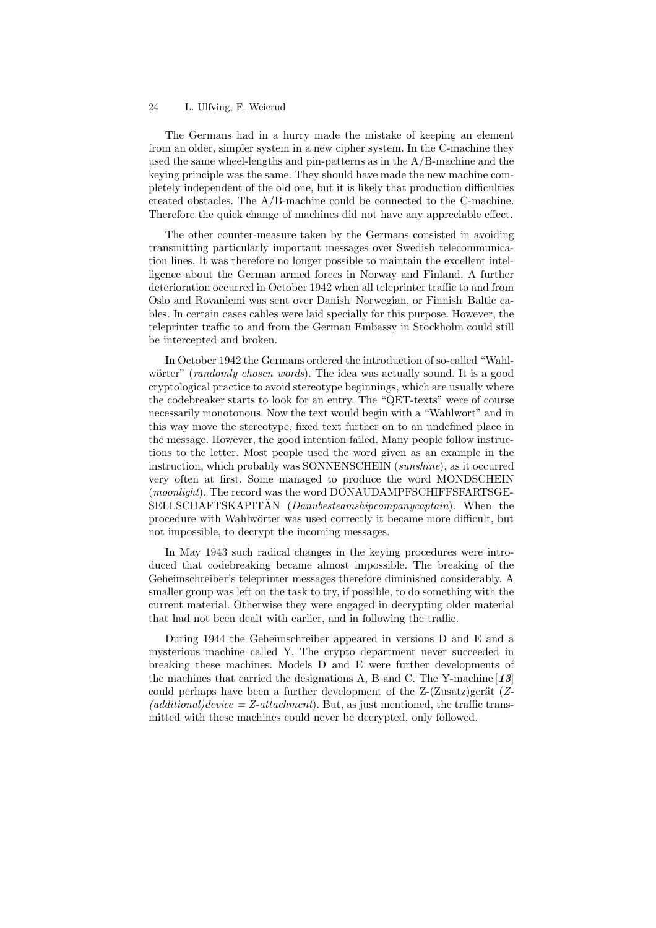The Germans had in a hurry made the mistake of keeping an element from an older, simpler system in a new cipher system. In the C-machine they used the same wheel-lengths and pin-patterns as in the A/B-machine and the keying principle was the same. They should have made the new machine completely independent of the old one, but it is likely that production difficulties created obstacles. The A/B-machine could be connected to the C-machine. Therefore the quick change of machines did not have any appreciable effect.

The other counter-measure taken by the Germans consisted in avoiding transmitting particularly important messages over Swedish telecommunication lines. It was therefore no longer possible to maintain the excellent intelligence about the German armed forces in Norway and Finland. A further deterioration occurred in October 1942 when all teleprinter traffic to and from Oslo and Rovaniemi was sent over Danish–Norwegian, or Finnish–Baltic cables. In certain cases cables were laid specially for this purpose. However, the teleprinter traffic to and from the German Embassy in Stockholm could still be intercepted and broken.

In October 1942 the Germans ordered the introduction of so-called "Wahlwörter" (randomly chosen words). The idea was actually sound. It is a good cryptological practice to avoid stereotype beginnings, which are usually where the codebreaker starts to look for an entry. The "QET-texts" were of course necessarily monotonous. Now the text would begin with a "Wahlwort" and in this way move the stereotype, fixed text further on to an undefined place in the message. However, the good intention failed. Many people follow instructions to the letter. Most people used the word given as an example in the instruction, which probably was SONNENSCHEIN (*sunshine*), as it occurred very often at first. Some managed to produce the word MONDSCHEIN (*moonlight*). The record was the word DONAUDAMPFSCHIFFSFARTSGE-SELLSCHAFTSKAPITAN (Danubesteamshipcompanycaptain). When the procedure with Wahlwörter was used correctly it became more difficult, but not impossible, to decrypt the incoming messages.

In May 1943 such radical changes in the keying procedures were introduced that codebreaking became almost impossible. The breaking of the Geheimschreiber's teleprinter messages therefore diminished considerably. A smaller group was left on the task to try, if possible, to do something with the current material. Otherwise they were engaged in decrypting older material that had not been dealt with earlier, and in following the traffic.

During 1944 the Geheimschreiber appeared in versions D and E and a mysterious machine called Y. The crypto department never succeeded in breaking these machines. Models D and E were further developments of the machines that carried the designations A, B and C. The Y-machine  $[13]$ could perhaps have been a further development of the  $Z-(Zusatz)$  gerät  $(Z (additional) device = Z-attachment)$ . But, as just mentioned, the traffic transmitted with these machines could never be decrypted, only followed.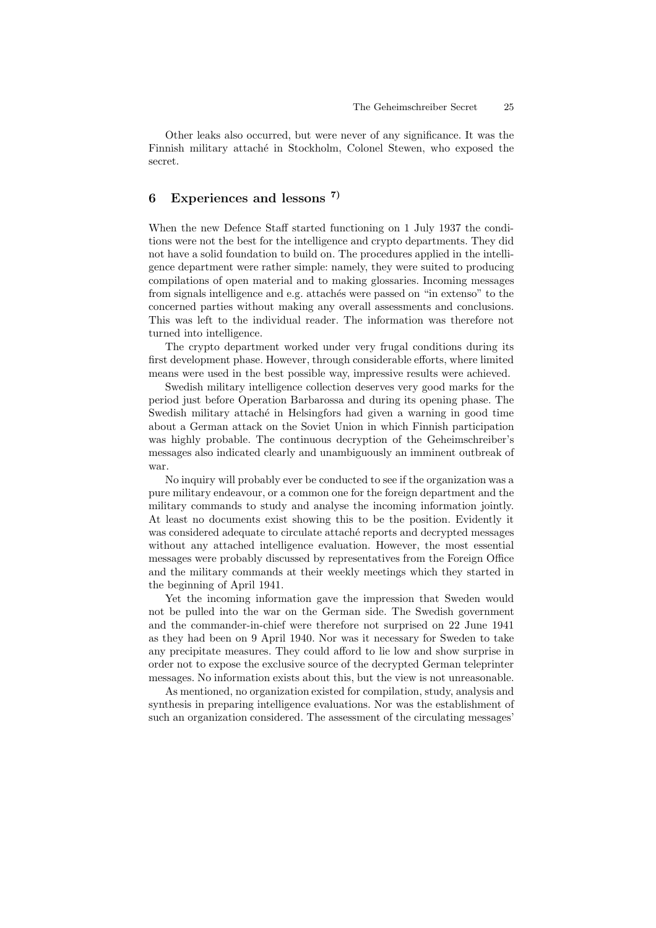Other leaks also occurred, but were never of any significance. It was the Finnish military attaché in Stockholm, Colonel Stewen, who exposed the secret.

# 6 Experiences and lessons  $^{7}$

When the new Defence Staff started functioning on 1 July 1937 the conditions were not the best for the intelligence and crypto departments. They did not have a solid foundation to build on. The procedures applied in the intelligence department were rather simple: namely, they were suited to producing compilations of open material and to making glossaries. Incoming messages from signals intelligence and e.g. attachés were passed on "in extenso" to the concerned parties without making any overall assessments and conclusions. This was left to the individual reader. The information was therefore not turned into intelligence.

The crypto department worked under very frugal conditions during its first development phase. However, through considerable efforts, where limited means were used in the best possible way, impressive results were achieved.

Swedish military intelligence collection deserves very good marks for the period just before Operation Barbarossa and during its opening phase. The Swedish military attaché in Helsingfors had given a warning in good time about a German attack on the Soviet Union in which Finnish participation was highly probable. The continuous decryption of the Geheimschreiber's messages also indicated clearly and unambiguously an imminent outbreak of war.

No inquiry will probably ever be conducted to see if the organization was a pure military endeavour, or a common one for the foreign department and the military commands to study and analyse the incoming information jointly. At least no documents exist showing this to be the position. Evidently it was considered adequate to circulate attaché reports and decrypted messages without any attached intelligence evaluation. However, the most essential messages were probably discussed by representatives from the Foreign Office and the military commands at their weekly meetings which they started in the beginning of April 1941.

Yet the incoming information gave the impression that Sweden would not be pulled into the war on the German side. The Swedish government and the commander-in-chief were therefore not surprised on 22 June 1941 as they had been on 9 April 1940. Nor was it necessary for Sweden to take any precipitate measures. They could afford to lie low and show surprise in order not to expose the exclusive source of the decrypted German teleprinter messages. No information exists about this, but the view is not unreasonable.

As mentioned, no organization existed for compilation, study, analysis and synthesis in preparing intelligence evaluations. Nor was the establishment of such an organization considered. The assessment of the circulating messages'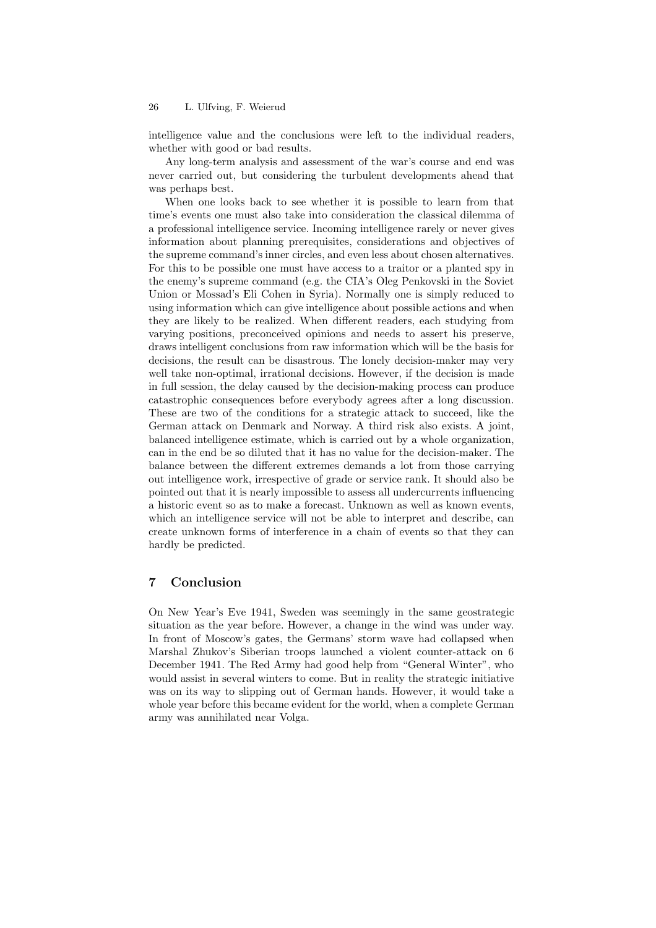intelligence value and the conclusions were left to the individual readers, whether with good or bad results.

Any long-term analysis and assessment of the war's course and end was never carried out, but considering the turbulent developments ahead that was perhaps best.

When one looks back to see whether it is possible to learn from that time's events one must also take into consideration the classical dilemma of a professional intelligence service. Incoming intelligence rarely or never gives information about planning prerequisites, considerations and objectives of the supreme command's inner circles, and even less about chosen alternatives. For this to be possible one must have access to a traitor or a planted spy in the enemy's supreme command (e.g. the CIA's Oleg Penkovski in the Soviet Union or Mossad's Eli Cohen in Syria). Normally one is simply reduced to using information which can give intelligence about possible actions and when they are likely to be realized. When different readers, each studying from varying positions, preconceived opinions and needs to assert his preserve, draws intelligent conclusions from raw information which will be the basis for decisions, the result can be disastrous. The lonely decision-maker may very well take non-optimal, irrational decisions. However, if the decision is made in full session, the delay caused by the decision-making process can produce catastrophic consequences before everybody agrees after a long discussion. These are two of the conditions for a strategic attack to succeed, like the German attack on Denmark and Norway. A third risk also exists. A joint, balanced intelligence estimate, which is carried out by a whole organization, can in the end be so diluted that it has no value for the decision-maker. The balance between the different extremes demands a lot from those carrying out intelligence work, irrespective of grade or service rank. It should also be pointed out that it is nearly impossible to assess all undercurrents influencing a historic event so as to make a forecast. Unknown as well as known events, which an intelligence service will not be able to interpret and describe, can create unknown forms of interference in a chain of events so that they can hardly be predicted.

## 7 Conclusion

On New Year's Eve 1941, Sweden was seemingly in the same geostrategic situation as the year before. However, a change in the wind was under way. In front of Moscow's gates, the Germans' storm wave had collapsed when Marshal Zhukov's Siberian troops launched a violent counter-attack on 6 December 1941. The Red Army had good help from "General Winter", who would assist in several winters to come. But in reality the strategic initiative was on its way to slipping out of German hands. However, it would take a whole year before this became evident for the world, when a complete German army was annihilated near Volga.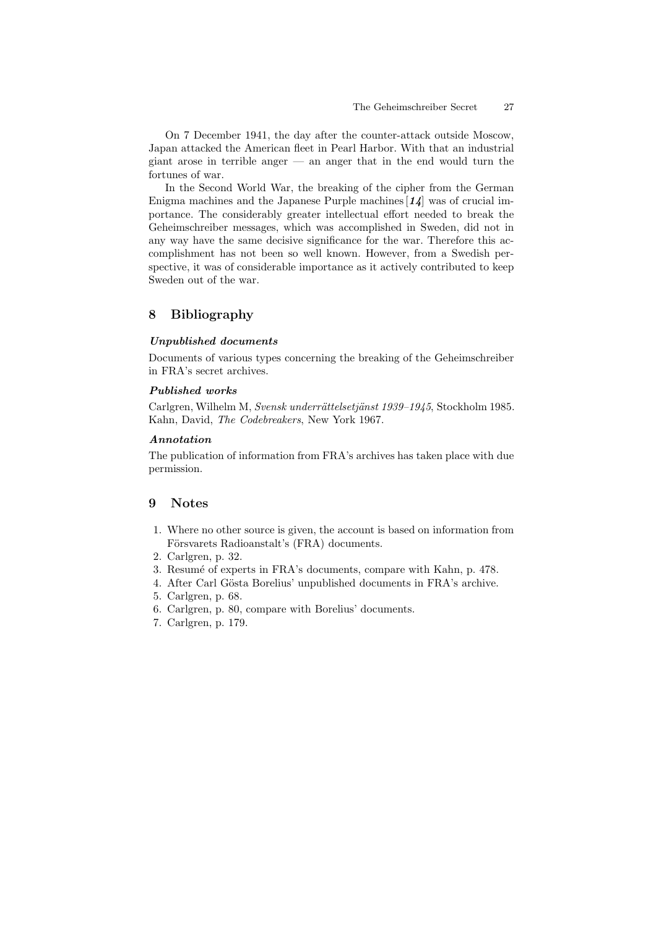On 7 December 1941, the day after the counter-attack outside Moscow, Japan attacked the American fleet in Pearl Harbor. With that an industrial giant arose in terrible anger — an anger that in the end would turn the fortunes of war.

In the Second World War, the breaking of the cipher from the German Enigma machines and the Japanese Purple machines  $[14]$  was of crucial importance. The considerably greater intellectual effort needed to break the Geheimschreiber messages, which was accomplished in Sweden, did not in any way have the same decisive significance for the war. Therefore this accomplishment has not been so well known. However, from a Swedish perspective, it was of considerable importance as it actively contributed to keep Sweden out of the war.

# 8 Bibliography

#### Unpublished documents

Documents of various types concerning the breaking of the Geheimschreiber in FRA's secret archives.

## Published works

Carlgren, Wilhelm M, Svensk underrättelsetjänst 1939–1945, Stockholm 1985. Kahn, David, The Codebreakers, New York 1967.

#### Annotation

The publication of information from FRA's archives has taken place with due permission.

## 9 Notes

- 1. Where no other source is given, the account is based on information from Försvarets Radioanstalt's (FRA) documents.
- 2. Carlgren, p. 32.
- 3. Resumé of experts in FRA's documents, compare with Kahn, p. 478.
- 4. After Carl Gösta Borelius' unpublished documents in FRA's archive.
- 5. Carlgren, p. 68.
- 6. Carlgren, p. 80, compare with Borelius' documents.
- 7. Carlgren, p. 179.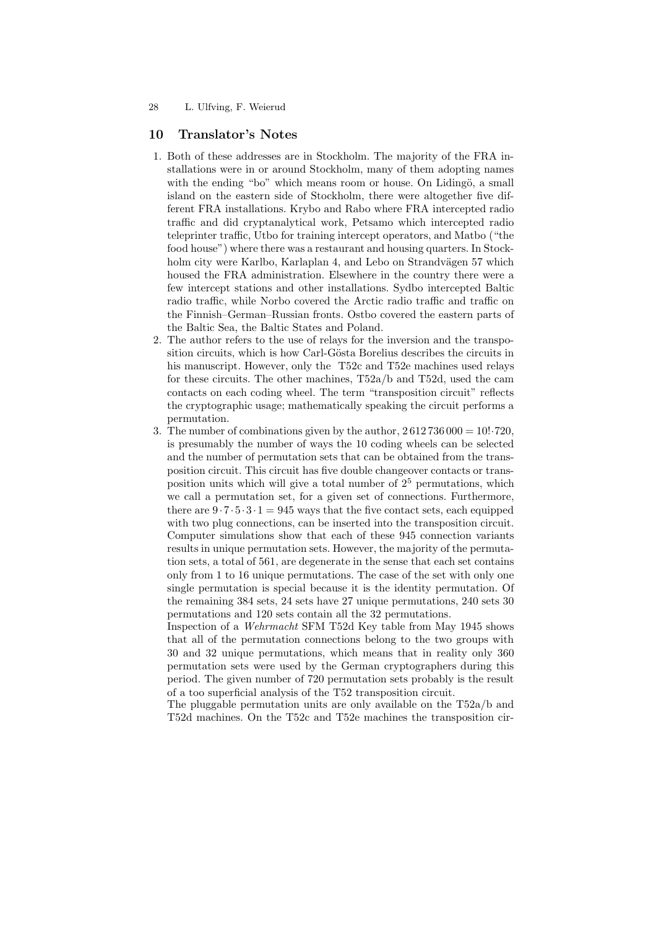## 10 Translator's Notes

- 1. Both of these addresses are in Stockholm. The majority of the FRA installations were in or around Stockholm, many of them adopting names with the ending "bo" which means room or house. On Lidingö, a small island on the eastern side of Stockholm, there were altogether five different FRA installations. Krybo and Rabo where FRA intercepted radio traffic and did cryptanalytical work, Petsamo which intercepted radio teleprinter traffic, Utbo for training intercept operators, and Matbo ("the food house") where there was a restaurant and housing quarters. In Stockholm city were Karlbo, Karlaplan 4, and Lebo on Strandvägen 57 which housed the FRA administration. Elsewhere in the country there were a few intercept stations and other installations. Sydbo intercepted Baltic radio traffic, while Norbo covered the Arctic radio traffic and traffic on the Finnish–German–Russian fronts. Ostbo covered the eastern parts of the Baltic Sea, the Baltic States and Poland.
- 2. The author refers to the use of relays for the inversion and the transposition circuits, which is how Carl-Gösta Borelius describes the circuits in his manuscript. However, only the T52c and T52e machines used relays for these circuits. The other machines, T52a/b and T52d, used the cam contacts on each coding wheel. The term "transposition circuit" reflects the cryptographic usage; mathematically speaking the circuit performs a permutation.
- 3. The number of combinations given by the author,  $2612736000 = 10!·720$ , is presumably the number of ways the 10 coding wheels can be selected and the number of permutation sets that can be obtained from the transposition circuit. This circuit has five double changeover contacts or transposition units which will give a total number of  $2<sup>5</sup>$  permutations, which we call a permutation set, for a given set of connections. Furthermore, there are  $9.7.5.3.1 = 945$  ways that the five contact sets, each equipped with two plug connections, can be inserted into the transposition circuit. Computer simulations show that each of these 945 connection variants results in unique permutation sets. However, the majority of the permutation sets, a total of 561, are degenerate in the sense that each set contains only from 1 to 16 unique permutations. The case of the set with only one single permutation is special because it is the identity permutation. Of the remaining 384 sets, 24 sets have 27 unique permutations, 240 sets 30 permutations and 120 sets contain all the 32 permutations.

Inspection of a Wehrmacht SFM T52d Key table from May 1945 shows that all of the permutation connections belong to the two groups with 30 and 32 unique permutations, which means that in reality only 360 permutation sets were used by the German cryptographers during this period. The given number of 720 permutation sets probably is the result of a too superficial analysis of the T52 transposition circuit.

The pluggable permutation units are only available on the T52a/b and T52d machines. On the T52c and T52e machines the transposition cir-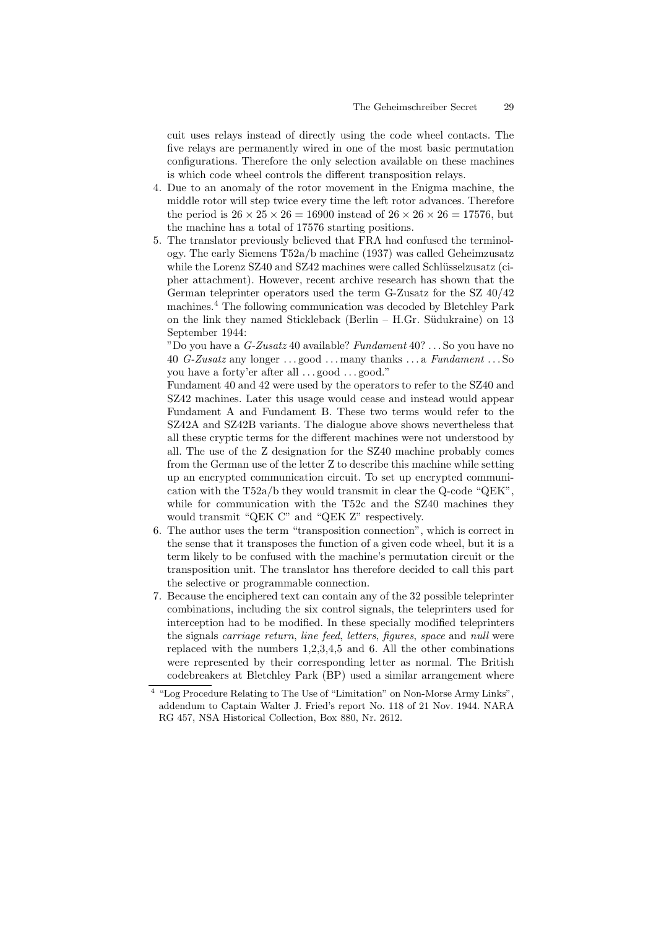cuit uses relays instead of directly using the code wheel contacts. The five relays are permanently wired in one of the most basic permutation configurations. Therefore the only selection available on these machines is which code wheel controls the different transposition relays.

- 4. Due to an anomaly of the rotor movement in the Enigma machine, the middle rotor will step twice every time the left rotor advances. Therefore the period is  $26 \times 25 \times 26 = 16900$  instead of  $26 \times 26 \times 26 = 17576$ , but the machine has a total of 17576 starting positions.
- 5. The translator previously believed that FRA had confused the terminology. The early Siemens T52a/b machine (1937) was called Geheimzusatz while the Lorenz  $SZ40$  and  $SZ42$  machines were called Schlüsselzusatz (cipher attachment). However, recent archive research has shown that the German teleprinter operators used the term G-Zusatz for the SZ 40/42 machines.<sup>4</sup> The following communication was decoded by Bletchley Park on the link they named Stickleback (Berlin – H.Gr. Südukraine) on  $13$ September 1944:

"Do you have a G-Zusatz 40 available? Fundament 40? . . . So you have no 40 G-Zusatz any longer . . . good . . . many thanks . . . a Fundament . . . So you have a forty'er after all ...good ...good."

Fundament 40 and 42 were used by the operators to refer to the SZ40 and SZ42 machines. Later this usage would cease and instead would appear Fundament A and Fundament B. These two terms would refer to the SZ42A and SZ42B variants. The dialogue above shows nevertheless that all these cryptic terms for the different machines were not understood by all. The use of the Z designation for the SZ40 machine probably comes from the German use of the letter Z to describe this machine while setting up an encrypted communication circuit. To set up encrypted communication with the T52a/b they would transmit in clear the Q-code "QEK", while for communication with the T52c and the SZ40 machines they would transmit "QEK C" and "QEK Z" respectively.

- 6. The author uses the term "transposition connection", which is correct in the sense that it transposes the function of a given code wheel, but it is a term likely to be confused with the machine's permutation circuit or the transposition unit. The translator has therefore decided to call this part the selective or programmable connection.
- 7. Because the enciphered text can contain any of the 32 possible teleprinter combinations, including the six control signals, the teleprinters used for interception had to be modified. In these specially modified teleprinters the signals carriage return, line feed, letters, figures, space and null were replaced with the numbers 1,2,3,4,5 and 6. All the other combinations were represented by their corresponding letter as normal. The British codebreakers at Bletchley Park (BP) used a similar arrangement where

<sup>4</sup> "Log Procedure Relating to The Use of "Limitation" on Non-Morse Army Links", addendum to Captain Walter J. Fried's report No. 118 of 21 Nov. 1944. NARA RG 457, NSA Historical Collection, Box 880, Nr. 2612.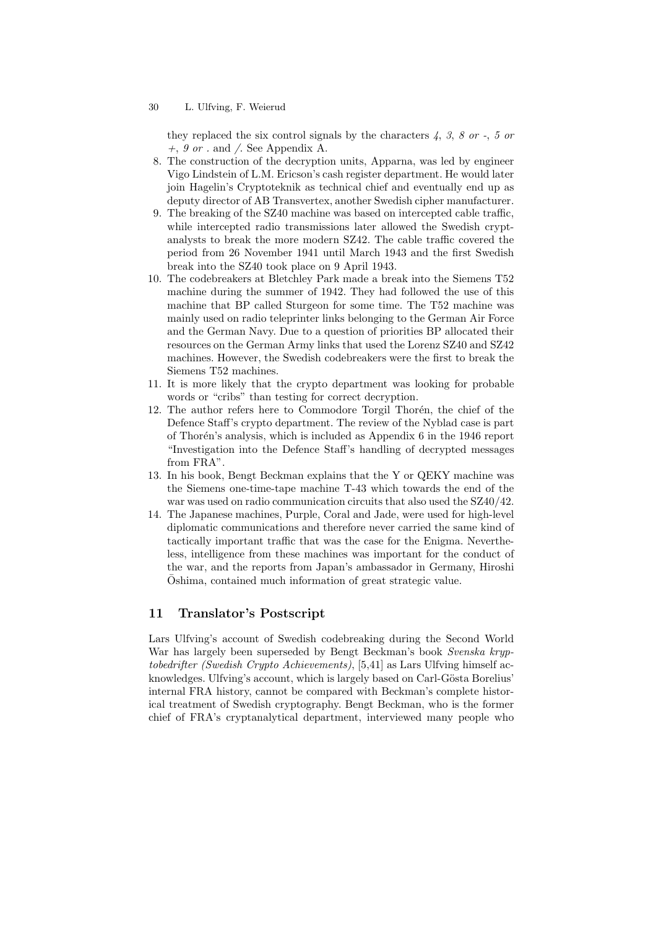they replaced the six control signals by the characters  $\lambda$ ,  $\delta$ ,  $\delta$  or  $\delta$  or  $+$ , 9 or . and  $\angle$  See Appendix A.

- 8. The construction of the decryption units, Apparna, was led by engineer Vigo Lindstein of L.M. Ericson's cash register department. He would later join Hagelin's Cryptoteknik as technical chief and eventually end up as deputy director of AB Transvertex, another Swedish cipher manufacturer.
- 9. The breaking of the SZ40 machine was based on intercepted cable traffic, while intercepted radio transmissions later allowed the Swedish cryptanalysts to break the more modern SZ42. The cable traffic covered the period from 26 November 1941 until March 1943 and the first Swedish break into the SZ40 took place on 9 April 1943.
- 10. The codebreakers at Bletchley Park made a break into the Siemens T52 machine during the summer of 1942. They had followed the use of this machine that BP called Sturgeon for some time. The T52 machine was mainly used on radio teleprinter links belonging to the German Air Force and the German Navy. Due to a question of priorities BP allocated their resources on the German Army links that used the Lorenz SZ40 and SZ42 machines. However, the Swedish codebreakers were the first to break the Siemens T52 machines.
- 11. It is more likely that the crypto department was looking for probable words or "cribs" than testing for correct decryption.
- 12. The author refers here to Commodore Torgil Thorén, the chief of the Defence Staff's crypto department. The review of the Nyblad case is part of Thorén's analysis, which is included as Appendix  $6$  in the 1946 report "Investigation into the Defence Staff's handling of decrypted messages from FRA".
- 13. In his book, Bengt Beckman explains that the Y or QEKY machine was the Siemens one-time-tape machine T-43 which towards the end of the war was used on radio communication circuits that also used the SZ40/42.
- 14. The Japanese machines, Purple, Coral and Jade, were used for high-level diplomatic communications and therefore never carried the same kind of tactically important traffic that was the case for the Enigma. Nevertheless, intelligence from these machines was important for the conduct of the war, and the reports from Japan's ambassador in Germany, Hiroshi Oshima, contained much information of great strategic value.

## 11 Translator's Postscript

Lars Ulfving's account of Swedish codebreaking during the Second World War has largely been superseded by Bengt Beckman's book Svenska kryptobedrifter (Swedish Crypto Achievements), [5,41] as Lars Ulfving himself acknowledges. Ulfving's account, which is largely based on Carl-Gösta Borelius' internal FRA history, cannot be compared with Beckman's complete historical treatment of Swedish cryptography. Bengt Beckman, who is the former chief of FRA's cryptanalytical department, interviewed many people who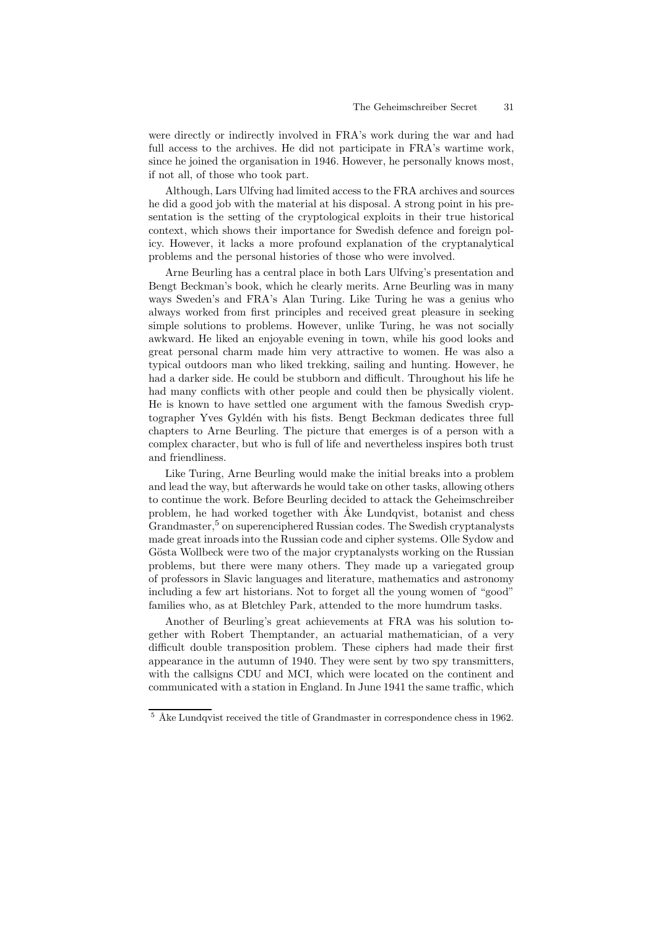were directly or indirectly involved in FRA's work during the war and had full access to the archives. He did not participate in FRA's wartime work, since he joined the organisation in 1946. However, he personally knows most, if not all, of those who took part.

Although, Lars Ulfving had limited access to the FRA archives and sources he did a good job with the material at his disposal. A strong point in his presentation is the setting of the cryptological exploits in their true historical context, which shows their importance for Swedish defence and foreign policy. However, it lacks a more profound explanation of the cryptanalytical problems and the personal histories of those who were involved.

Arne Beurling has a central place in both Lars Ulfving's presentation and Bengt Beckman's book, which he clearly merits. Arne Beurling was in many ways Sweden's and FRA's Alan Turing. Like Turing he was a genius who always worked from first principles and received great pleasure in seeking simple solutions to problems. However, unlike Turing, he was not socially awkward. He liked an enjoyable evening in town, while his good looks and great personal charm made him very attractive to women. He was also a typical outdoors man who liked trekking, sailing and hunting. However, he had a darker side. He could be stubborn and difficult. Throughout his life he had many conflicts with other people and could then be physically violent. He is known to have settled one argument with the famous Swedish cryptographer Yves Gyldén with his fists. Bengt Beckman dedicates three full chapters to Arne Beurling. The picture that emerges is of a person with a complex character, but who is full of life and nevertheless inspires both trust and friendliness.

Like Turing, Arne Beurling would make the initial breaks into a problem and lead the way, but afterwards he would take on other tasks, allowing others to continue the work. Before Beurling decided to attack the Geheimschreiber problem, he had worked together with Åke Lundqvist, botanist and chess Grandmaster,<sup>5</sup> on superenciphered Russian codes. The Swedish cryptanalysts made great inroads into the Russian code and cipher systems. Olle Sydow and Gösta Wollbeck were two of the major cryptanalysts working on the Russian problems, but there were many others. They made up a variegated group of professors in Slavic languages and literature, mathematics and astronomy including a few art historians. Not to forget all the young women of "good" families who, as at Bletchley Park, attended to the more humdrum tasks.

Another of Beurling's great achievements at FRA was his solution together with Robert Themptander, an actuarial mathematician, of a very difficult double transposition problem. These ciphers had made their first appearance in the autumn of 1940. They were sent by two spy transmitters, with the callsigns CDU and MCI, which were located on the continent and communicated with a station in England. In June 1941 the same traffic, which

 $5\,$  Åke Lundqvist received the title of Grandmaster in correspondence chess in 1962.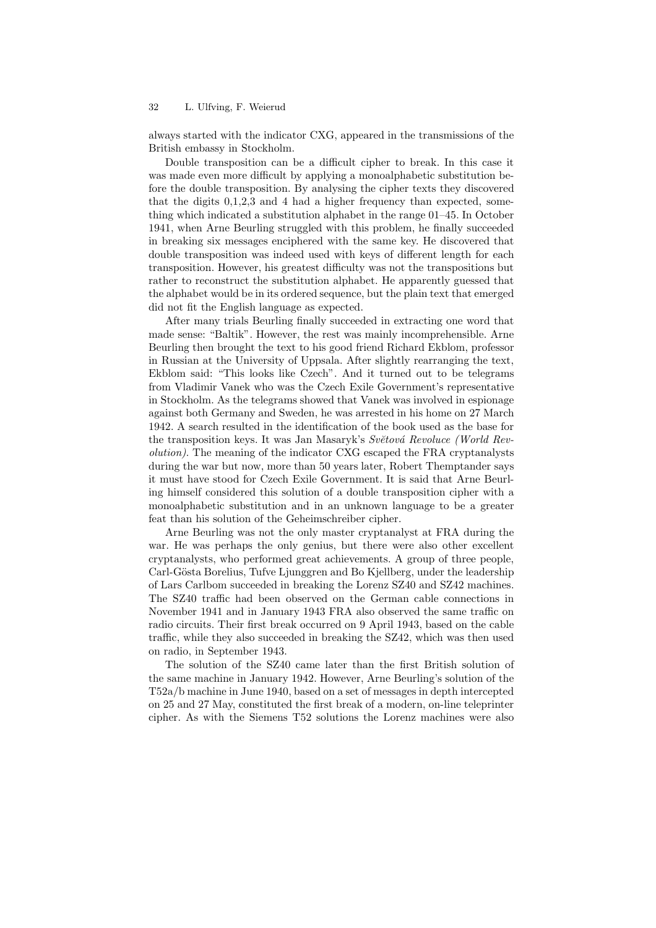always started with the indicator CXG, appeared in the transmissions of the British embassy in Stockholm.

Double transposition can be a difficult cipher to break. In this case it was made even more difficult by applying a monoalphabetic substitution before the double transposition. By analysing the cipher texts they discovered that the digits 0,1,2,3 and 4 had a higher frequency than expected, something which indicated a substitution alphabet in the range 01–45. In October 1941, when Arne Beurling struggled with this problem, he finally succeeded in breaking six messages enciphered with the same key. He discovered that double transposition was indeed used with keys of different length for each transposition. However, his greatest difficulty was not the transpositions but rather to reconstruct the substitution alphabet. He apparently guessed that the alphabet would be in its ordered sequence, but the plain text that emerged did not fit the English language as expected.

After many trials Beurling finally succeeded in extracting one word that made sense: "Baltik". However, the rest was mainly incomprehensible. Arne Beurling then brought the text to his good friend Richard Ekblom, professor in Russian at the University of Uppsala. After slightly rearranging the text, Ekblom said: "This looks like Czech". And it turned out to be telegrams from Vladimir Vanek who was the Czech Exile Government's representative in Stockholm. As the telegrams showed that Vanek was involved in espionage against both Germany and Sweden, he was arrested in his home on 27 March 1942. A search resulted in the identification of the book used as the base for the transposition keys. It was Jan Masaryk's Světová Revoluce (World Revolution). The meaning of the indicator CXG escaped the FRA cryptanalysts during the war but now, more than 50 years later, Robert Themptander says it must have stood for Czech Exile Government. It is said that Arne Beurling himself considered this solution of a double transposition cipher with a monoalphabetic substitution and in an unknown language to be a greater feat than his solution of the Geheimschreiber cipher.

Arne Beurling was not the only master cryptanalyst at FRA during the war. He was perhaps the only genius, but there were also other excellent cryptanalysts, who performed great achievements. A group of three people, Carl-Gösta Borelius, Tufve Ljunggren and Bo Kjellberg, under the leadership of Lars Carlbom succeeded in breaking the Lorenz SZ40 and SZ42 machines. The SZ40 traffic had been observed on the German cable connections in November 1941 and in January 1943 FRA also observed the same traffic on radio circuits. Their first break occurred on 9 April 1943, based on the cable traffic, while they also succeeded in breaking the SZ42, which was then used on radio, in September 1943.

The solution of the SZ40 came later than the first British solution of the same machine in January 1942. However, Arne Beurling's solution of the T52a/b machine in June 1940, based on a set of messages in depth intercepted on 25 and 27 May, constituted the first break of a modern, on-line teleprinter cipher. As with the Siemens T52 solutions the Lorenz machines were also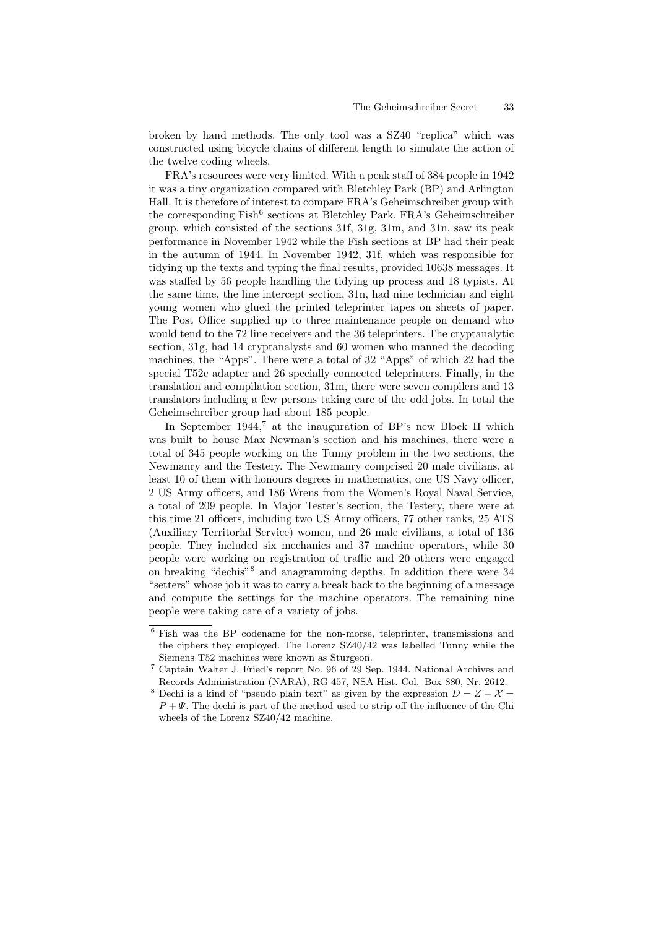broken by hand methods. The only tool was a SZ40 "replica" which was constructed using bicycle chains of different length to simulate the action of the twelve coding wheels.

FRA's resources were very limited. With a peak staff of 384 people in 1942 it was a tiny organization compared with Bletchley Park (BP) and Arlington Hall. It is therefore of interest to compare FRA's Geheimschreiber group with the corresponding Fish<sup>6</sup> sections at Bletchley Park. FRA's Geheimschreiber group, which consisted of the sections 31f, 31g, 31m, and 31n, saw its peak performance in November 1942 while the Fish sections at BP had their peak in the autumn of 1944. In November 1942, 31f, which was responsible for tidying up the texts and typing the final results, provided 10638 messages. It was staffed by 56 people handling the tidying up process and 18 typists. At the same time, the line intercept section, 31n, had nine technician and eight young women who glued the printed teleprinter tapes on sheets of paper. The Post Office supplied up to three maintenance people on demand who would tend to the 72 line receivers and the 36 teleprinters. The cryptanalytic section, 31g, had 14 cryptanalysts and 60 women who manned the decoding machines, the "Apps". There were a total of 32 "Apps" of which 22 had the special T52c adapter and 26 specially connected teleprinters. Finally, in the translation and compilation section, 31m, there were seven compilers and 13 translators including a few persons taking care of the odd jobs. In total the Geheimschreiber group had about 185 people.

In September  $1944$ ,  $\frac{7}{7}$  at the inauguration of BP's new Block H which was built to house Max Newman's section and his machines, there were a total of 345 people working on the Tunny problem in the two sections, the Newmanry and the Testery. The Newmanry comprised 20 male civilians, at least 10 of them with honours degrees in mathematics, one US Navy officer, 2 US Army officers, and 186 Wrens from the Women's Royal Naval Service, a total of 209 people. In Major Tester's section, the Testery, there were at this time 21 officers, including two US Army officers, 77 other ranks, 25 ATS (Auxiliary Territorial Service) women, and 26 male civilians, a total of 136 people. They included six mechanics and 37 machine operators, while 30 people were working on registration of traffic and 20 others were engaged on breaking "dechis"<sup>8</sup> and anagramming depths. In addition there were 34 "setters" whose job it was to carry a break back to the beginning of a message and compute the settings for the machine operators. The remaining nine people were taking care of a variety of jobs.

 $6$  Fish was the BP codename for the non-morse, teleprinter, transmissions and the ciphers they employed. The Lorenz SZ40/42 was labelled Tunny while the Siemens T52 machines were known as Sturgeon.

<sup>7</sup> Captain Walter J. Fried's report No. 96 of 29 Sep. 1944. National Archives and Records Administration (NARA), RG 457, NSA Hist. Col. Box 880, Nr. 2612.

<sup>&</sup>lt;sup>8</sup> Dechi is a kind of "pseudo plain text" as given by the expression  $D = Z + X =$  $P + \Psi$ . The dechi is part of the method used to strip off the influence of the Chi wheels of the Lorenz SZ40/42 machine.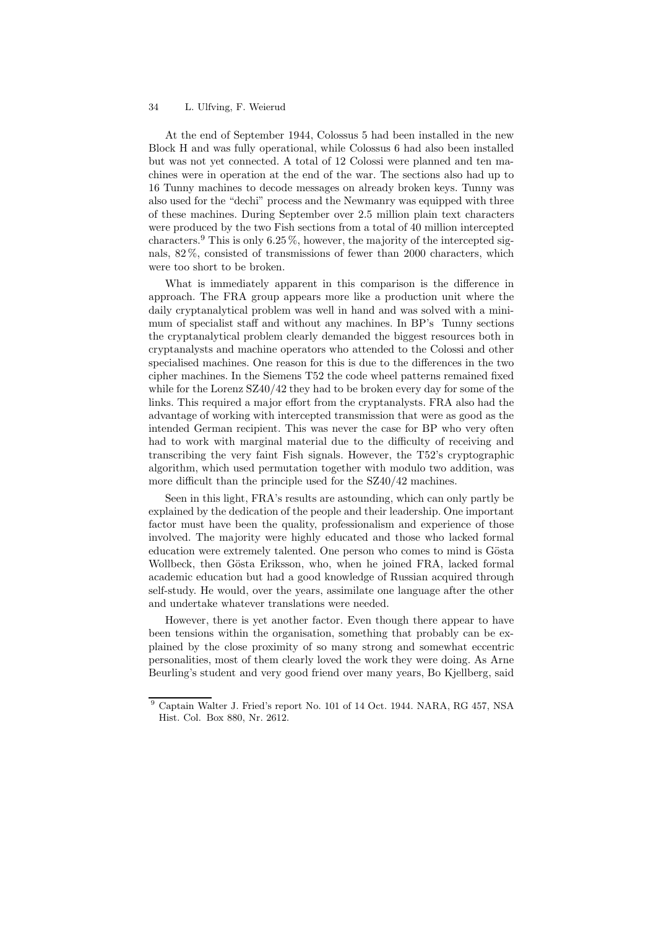At the end of September 1944, Colossus 5 had been installed in the new Block H and was fully operational, while Colossus 6 had also been installed but was not yet connected. A total of 12 Colossi were planned and ten machines were in operation at the end of the war. The sections also had up to 16 Tunny machines to decode messages on already broken keys. Tunny was also used for the "dechi" process and the Newmanry was equipped with three of these machines. During September over 2.5 million plain text characters were produced by the two Fish sections from a total of 40 million intercepted characters.<sup>9</sup> This is only 6.25 %, however, the majority of the intercepted signals, 82 %, consisted of transmissions of fewer than 2000 characters, which were too short to be broken.

What is immediately apparent in this comparison is the difference in approach. The FRA group appears more like a production unit where the daily cryptanalytical problem was well in hand and was solved with a minimum of specialist staff and without any machines. In BP's Tunny sections the cryptanalytical problem clearly demanded the biggest resources both in cryptanalysts and machine operators who attended to the Colossi and other specialised machines. One reason for this is due to the differences in the two cipher machines. In the Siemens T52 the code wheel patterns remained fixed while for the Lorenz  $SZ40/42$  they had to be broken every day for some of the links. This required a major effort from the cryptanalysts. FRA also had the advantage of working with intercepted transmission that were as good as the intended German recipient. This was never the case for BP who very often had to work with marginal material due to the difficulty of receiving and transcribing the very faint Fish signals. However, the T52's cryptographic algorithm, which used permutation together with modulo two addition, was more difficult than the principle used for the SZ40/42 machines.

Seen in this light, FRA's results are astounding, which can only partly be explained by the dedication of the people and their leadership. One important factor must have been the quality, professionalism and experience of those involved. The majority were highly educated and those who lacked formal education were extremely talented. One person who comes to mind is Gösta Wollbeck, then Gösta Eriksson, who, when he joined FRA, lacked formal academic education but had a good knowledge of Russian acquired through self-study. He would, over the years, assimilate one language after the other and undertake whatever translations were needed.

However, there is yet another factor. Even though there appear to have been tensions within the organisation, something that probably can be explained by the close proximity of so many strong and somewhat eccentric personalities, most of them clearly loved the work they were doing. As Arne Beurling's student and very good friend over many years, Bo Kjellberg, said

<sup>9</sup> Captain Walter J. Fried's report No. 101 of 14 Oct. 1944. NARA, RG 457, NSA Hist. Col. Box 880, Nr. 2612.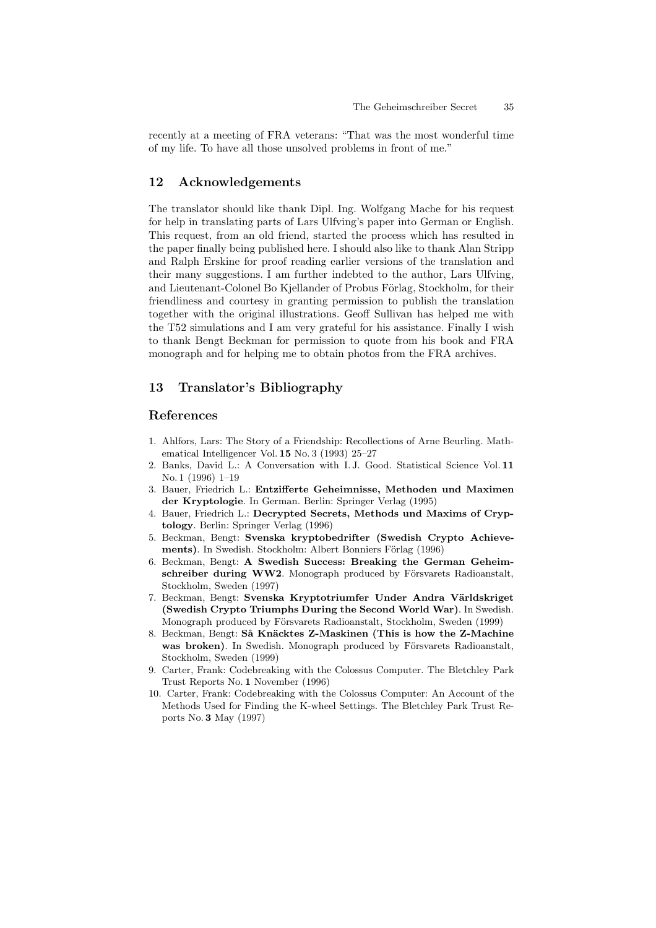recently at a meeting of FRA veterans: "That was the most wonderful time of my life. To have all those unsolved problems in front of me."

## 12 Acknowledgements

The translator should like thank Dipl. Ing. Wolfgang Mache for his request for help in translating parts of Lars Ulfving's paper into German or English. This request, from an old friend, started the process which has resulted in the paper finally being published here. I should also like to thank Alan Stripp and Ralph Erskine for proof reading earlier versions of the translation and their many suggestions. I am further indebted to the author, Lars Ulfving, and Lieutenant-Colonel Bo Kjellander of Probus Förlag, Stockholm, for their friendliness and courtesy in granting permission to publish the translation together with the original illustrations. Geoff Sullivan has helped me with the T52 simulations and I am very grateful for his assistance. Finally I wish to thank Bengt Beckman for permission to quote from his book and FRA monograph and for helping me to obtain photos from the FRA archives.

### 13 Translator's Bibliography

### References

- 1. Ahlfors, Lars: The Story of a Friendship: Recollections of Arne Beurling. Mathematical Intelligencer Vol. 15 No. 3 (1993) 25–27
- 2. Banks, David L.: A Conversation with I. J. Good. Statistical Science Vol. 11 No. 1 (1996) 1–19
- 3. Bauer, Friedrich L.: Entzifferte Geheimnisse, Methoden und Maximen der Kryptologie. In German. Berlin: Springer Verlag (1995)
- 4. Bauer, Friedrich L.: Decrypted Secrets, Methods und Maxims of Cryptology. Berlin: Springer Verlag (1996)
- 5. Beckman, Bengt: Svenska kryptobedrifter (Swedish Crypto Achievements). In Swedish. Stockholm: Albert Bonniers Förlag (1996)
- 6. Beckman, Bengt: A Swedish Success: Breaking the German Geheimschreiber during WW2. Monograph produced by Försvarets Radioanstalt, Stockholm, Sweden (1997)
- 7. Beckman, Bengt: Svenska Kryptotriumfer Under Andra Världskriget (Swedish Crypto Triumphs During the Second World War). In Swedish. Monograph produced by Försvarets Radioanstalt, Stockholm, Sweden (1999)
- 8. Beckman, Bengt: Så Knäcktes Z-Maskinen (This is how the Z-Machine was broken). In Swedish. Monograph produced by Försvarets Radioanstalt, Stockholm, Sweden (1999)
- 9. Carter, Frank: Codebreaking with the Colossus Computer. The Bletchley Park Trust Reports No. 1 November (1996)
- 10. Carter, Frank: Codebreaking with the Colossus Computer: An Account of the Methods Used for Finding the K-wheel Settings. The Bletchley Park Trust Reports No. 3 May (1997)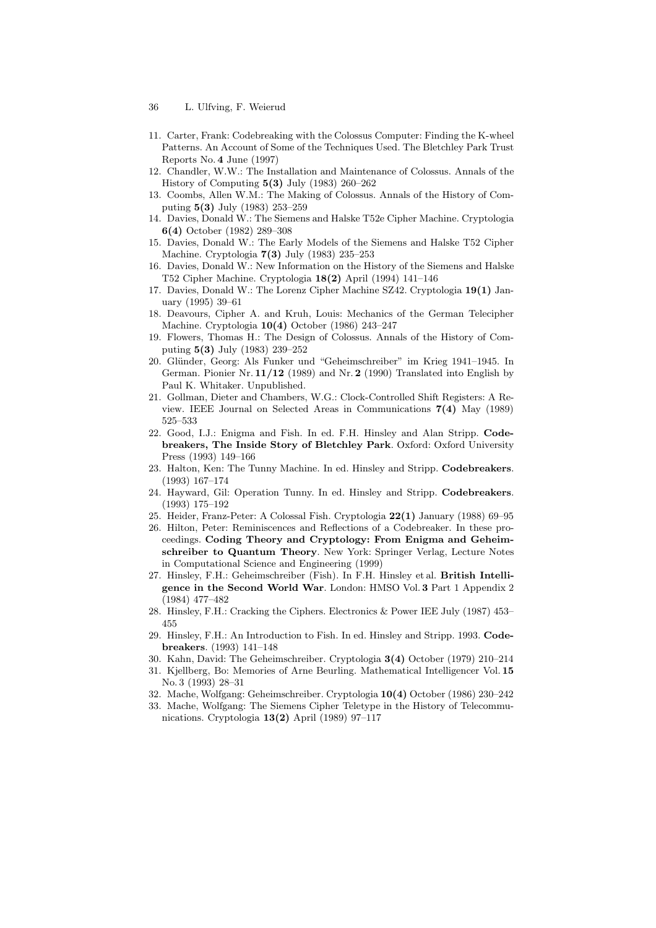- 36 L. Ulfving, F. Weierud
- 11. Carter, Frank: Codebreaking with the Colossus Computer: Finding the K-wheel Patterns. An Account of Some of the Techniques Used. The Bletchley Park Trust Reports No. 4 June (1997)
- 12. Chandler, W.W.: The Installation and Maintenance of Colossus. Annals of the History of Computing  $5(3)$  July (1983) 260–262
- 13. Coombs, Allen W.M.: The Making of Colossus. Annals of the History of Computing 5(3) July (1983) 253–259
- 14. Davies, Donald W.: The Siemens and Halske T52e Cipher Machine. Cryptologia 6(4) October (1982) 289–308
- 15. Davies, Donald W.: The Early Models of the Siemens and Halske T52 Cipher Machine. Cryptologia 7(3) July (1983) 235–253
- 16. Davies, Donald W.: New Information on the History of the Siemens and Halske T52 Cipher Machine. Cryptologia 18(2) April (1994) 141–146
- 17. Davies, Donald W.: The Lorenz Cipher Machine SZ42. Cryptologia 19(1) January (1995) 39–61
- 18. Deavours, Cipher A. and Kruh, Louis: Mechanics of the German Telecipher Machine. Cryptologia 10(4) October (1986) 243–247
- 19. Flowers, Thomas H.: The Design of Colossus. Annals of the History of Computing 5(3) July (1983) 239–252
- 20. Glünder, Georg: Als Funker und "Geheimschreiber" im Krieg 1941–1945. In German. Pionier Nr. 11/12 (1989) and Nr. 2 (1990) Translated into English by Paul K. Whitaker. Unpublished.
- 21. Gollman, Dieter and Chambers, W.G.: Clock-Controlled Shift Registers: A Review. IEEE Journal on Selected Areas in Communications 7(4) May (1989) 525–533
- 22. Good, I.J.: Enigma and Fish. In ed. F.H. Hinsley and Alan Stripp. Codebreakers, The Inside Story of Bletchley Park. Oxford: Oxford University Press (1993) 149–166
- 23. Halton, Ken: The Tunny Machine. In ed. Hinsley and Stripp. Codebreakers. (1993) 167–174
- 24. Hayward, Gil: Operation Tunny. In ed. Hinsley and Stripp. Codebreakers. (1993) 175–192
- 25. Heider, Franz-Peter: A Colossal Fish. Cryptologia 22(1) January (1988) 69–95
- 26. Hilton, Peter: Reminiscences and Reflections of a Codebreaker. In these proceedings. Coding Theory and Cryptology: From Enigma and Geheimschreiber to Quantum Theory. New York: Springer Verlag, Lecture Notes in Computational Science and Engineering (1999)
- 27. Hinsley, F.H.: Geheimschreiber (Fish). In F.H. Hinsley et al. British Intelligence in the Second World War. London: HMSO Vol. 3 Part 1 Appendix 2 (1984) 477–482
- 28. Hinsley, F.H.: Cracking the Ciphers. Electronics & Power IEE July (1987) 453– 455
- 29. Hinsley, F.H.: An Introduction to Fish. In ed. Hinsley and Stripp. 1993. Codebreakers. (1993) 141–148
- 30. Kahn, David: The Geheimschreiber. Cryptologia 3(4) October (1979) 210–214
- 31. Kjellberg, Bo: Memories of Arne Beurling. Mathematical Intelligencer Vol. 15 No. 3 (1993) 28–31
- 32. Mache, Wolfgang: Geheimschreiber. Cryptologia 10(4) October (1986) 230–242
- 33. Mache, Wolfgang: The Siemens Cipher Teletype in the History of Telecommunications. Cryptologia 13(2) April (1989) 97–117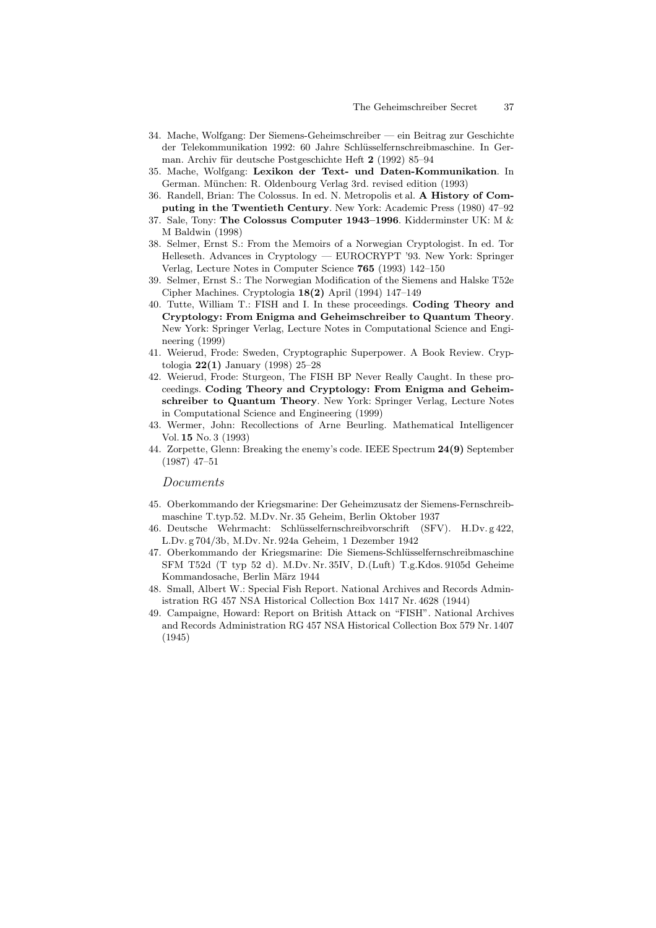- 34. Mache, Wolfgang: Der Siemens-Geheimschreiber ein Beitrag zur Geschichte der Telekommunikation 1992: 60 Jahre Schlüsselfernschreibmaschine. In German. Archiv für deutsche Postgeschichte Heft 2 (1992) 85–94
- 35. Mache, Wolfgang: Lexikon der Text- und Daten-Kommunikation. In German. München: R. Oldenbourg Verlag 3rd. revised edition (1993)
- 36. Randell, Brian: The Colossus. In ed. N. Metropolis et al. A History of Computing in the Twentieth Century. New York: Academic Press (1980) 47–92
- 37. Sale, Tony: The Colossus Computer 1943–1996. Kidderminster UK: M  $\&$ M Baldwin (1998)
- 38. Selmer, Ernst S.: From the Memoirs of a Norwegian Cryptologist. In ed. Tor Helleseth. Advances in Cryptology — EUROCRYPT '93. New York: Springer Verlag, Lecture Notes in Computer Science 765 (1993) 142–150
- 39. Selmer, Ernst S.: The Norwegian Modification of the Siemens and Halske T52e Cipher Machines. Cryptologia 18(2) April (1994) 147–149
- 40. Tutte, William T.: FISH and I. In these proceedings. Coding Theory and Cryptology: From Enigma and Geheimschreiber to Quantum Theory. New York: Springer Verlag, Lecture Notes in Computational Science and Engineering (1999)
- 41. Weierud, Frode: Sweden, Cryptographic Superpower. A Book Review. Cryptologia 22(1) January (1998) 25–28
- 42. Weierud, Frode: Sturgeon, The FISH BP Never Really Caught. In these proceedings. Coding Theory and Cryptology: From Enigma and Geheimschreiber to Quantum Theory. New York: Springer Verlag, Lecture Notes in Computational Science and Engineering (1999)
- 43. Wermer, John: Recollections of Arne Beurling. Mathematical Intelligencer Vol. 15 No. 3 (1993)
- 44. Zorpette, Glenn: Breaking the enemy's code. IEEE Spectrum 24(9) September (1987) 47–51

Documents

- 45. Oberkommando der Kriegsmarine: Der Geheimzusatz der Siemens-Fernschreibmaschine T.typ.52. M.Dv. Nr. 35 Geheim, Berlin Oktober 1937
- 46. Deutsche Wehrmacht: Schlüsselfernschreibvorschrift (SFV). H.Dv. g 422, L.Dv. g 704/3b, M.Dv. Nr. 924a Geheim, 1 Dezember 1942
- 47. Oberkommando der Kriegsmarine: Die Siemens-Schlüsselfernschreibmaschine SFM T52d (T typ 52 d). M.Dv. Nr. 35IV, D.(Luft) T.g.Kdos. 9105d Geheime Kommandosache, Berlin März 1944
- 48. Small, Albert W.: Special Fish Report. National Archives and Records Administration RG 457 NSA Historical Collection Box 1417 Nr. 4628 (1944)
- 49. Campaigne, Howard: Report on British Attack on "FISH". National Archives and Records Administration RG 457 NSA Historical Collection Box 579 Nr. 1407 (1945)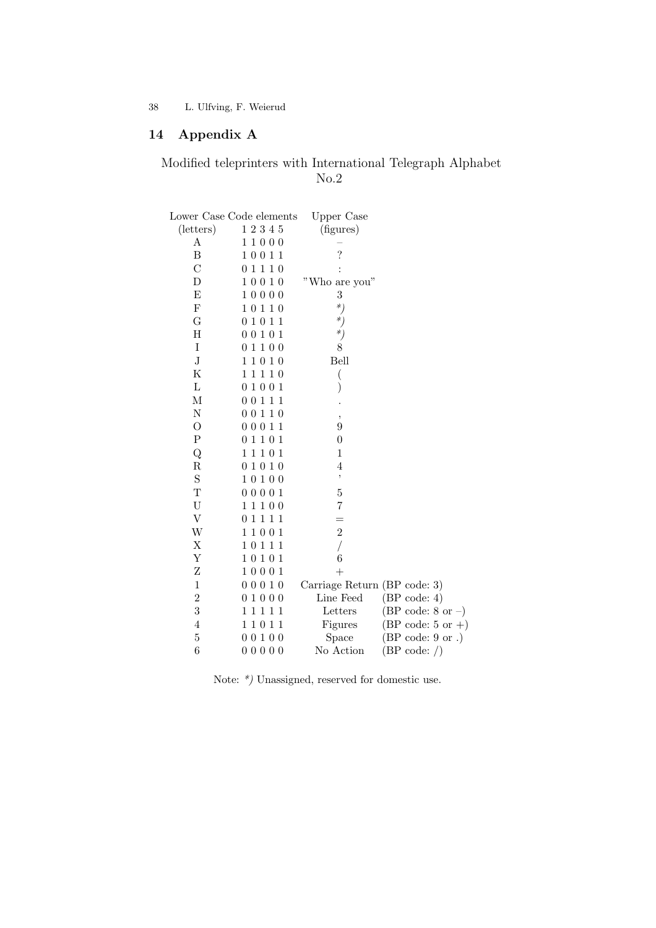# 14 Appendix A

Modified teleprinters with International Telegraph Alphabet No.2

|                           | Lower Case Code elements | Upper Case                   |                         |                                       |  |
|---------------------------|--------------------------|------------------------------|-------------------------|---------------------------------------|--|
| (letters)                 | 12345                    | (figures)                    |                         |                                       |  |
| Α                         | 11000                    |                              |                         |                                       |  |
| B                         | 10011                    | $\ddot{?}$                   |                         |                                       |  |
| $\mathcal{C}$             | 01110                    |                              |                         |                                       |  |
| $\mathbf D$               | 10010                    | "Who are you"                |                         |                                       |  |
| E                         | 10000                    | $\boldsymbol{3}$             |                         |                                       |  |
| $_{\rm F}$                | 10110                    | $^*)$                        |                         |                                       |  |
| G                         | 01011                    | $^*)$                        |                         |                                       |  |
| Η                         | 00101                    | $^{\ast})$                   |                         |                                       |  |
| I                         | 01100                    | 8                            |                         |                                       |  |
| ${\bf J}$                 | 11010                    | Bell                         |                         |                                       |  |
| Κ                         | 11110                    | (                            |                         |                                       |  |
| L                         | 01001                    |                              |                         |                                       |  |
| М                         | 00111                    |                              |                         |                                       |  |
| $\mathbf N$               | 00110                    | $\, ,$                       |                         |                                       |  |
| $\rm{O}$                  | 00011                    | 9                            |                         |                                       |  |
| ${\bf P}$                 | 01101                    | $\overline{0}$               |                         |                                       |  |
| Q                         | 11101                    | $\mathbf 1$                  |                         |                                       |  |
| R                         | 01010                    | $\overline{4}$               |                         |                                       |  |
| $\mathbf S$               | 10100                    | ,                            |                         |                                       |  |
| T                         | 00001                    | $\mathbf 5$                  |                         |                                       |  |
| U                         | 11100                    | 7                            |                         |                                       |  |
| $\ensuremath{\mathbf{V}}$ | 0 1 1 1 1                | =                            |                         |                                       |  |
| W                         | 11001                    | $\overline{2}$               |                         |                                       |  |
| X                         | 10111                    |                              |                         |                                       |  |
| Υ                         | 10101                    | 6                            |                         |                                       |  |
| Ζ                         | 10001                    | $+$                          |                         |                                       |  |
| $\mathbf{1}$              | 00010                    | Carriage Return (BP code: 3) |                         |                                       |  |
| $\overline{2}$            | 01000                    | Line Feed                    | (BP code: 4)            |                                       |  |
| 3                         | 11111                    | Letters                      |                         | (BP code: $8$ or $-)$                 |  |
| $\overline{4}$            | 11011                    | Figures                      |                         | $(BP \text{ code: } 5 \text{ or } +)$ |  |
| $\overline{5}$            | 00100                    | Space                        |                         | (BP code: 9 or .)                     |  |
| $\;6\;$                   | 00000                    | No Action                    | $(BP \text{ code: } /)$ |                                       |  |
|                           |                          |                              |                         |                                       |  |

Note: \*) Unassigned, reserved for domestic use.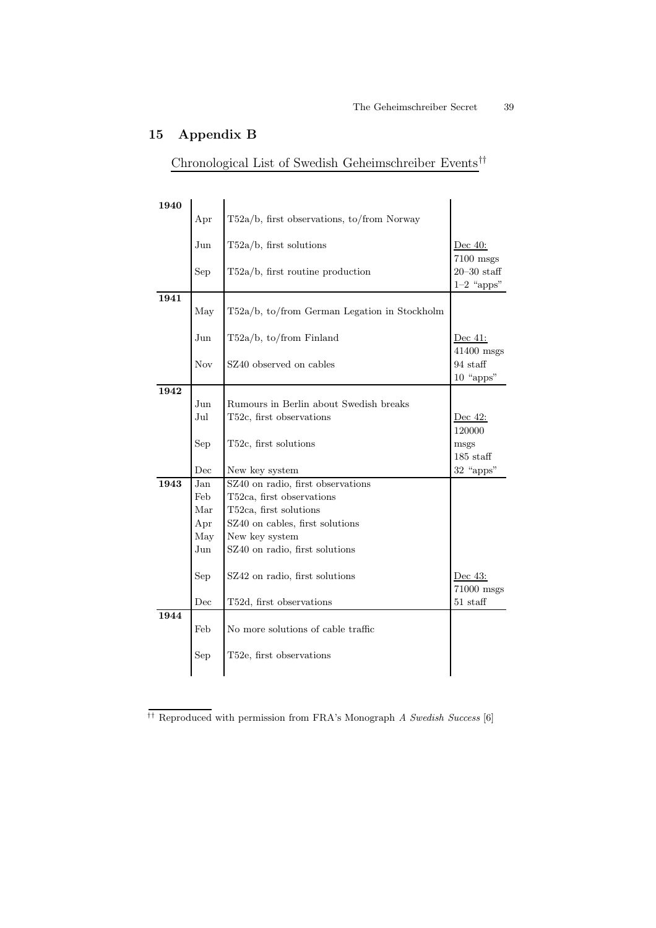# 15 Appendix B

Chronological List of Swedish Geheimschreiber Events††

| 1940 |     |                                              |                               |
|------|-----|----------------------------------------------|-------------------------------|
|      | Apr | T52a/b, first observations, to/from Norway   |                               |
|      | Jun | $T52a/b$ , first solutions                   | Dec 40:                       |
|      |     |                                              | $7100$ msgs                   |
|      | Sep | $T52a/b$ , first routine production          | $20-30$ staff<br>$1-2$ "apps" |
| 1941 |     |                                              |                               |
|      | May | T52a/b, to/from German Legation in Stockholm |                               |
|      | Jun | $T52a/b$ , to/from Finland                   | Dec $41$ :                    |
|      |     |                                              | $41400$ msgs $\,$             |
|      | Nov | SZ40 observed on cables                      | 94 staff                      |
|      |     |                                              | $10$ "apps"                   |
| 1942 |     |                                              |                               |
|      | Jun | Rumours in Berlin about Swedish breaks       |                               |
|      | Jul | T52c, first observations                     | Dec 42:<br>120000             |
|      | Sep | T52c, first solutions                        | msgs                          |
|      |     |                                              | $185$ staff                   |
|      | Dec | New key system                               | 32 "apps"                     |
| 1943 | Jan | SZ40 on radio, first observations            |                               |
|      | Feb | T52ca, first observations                    |                               |
|      | Mar | T52ca, first solutions                       |                               |
|      | Apr | SZ40 on cables, first solutions              |                               |
|      | May | New key system                               |                               |
|      | Jun | SZ40 on radio, first solutions               |                               |
|      | Sep | SZ42 on radio, first solutions               | Dec 43:                       |
|      |     |                                              | $71000$ msgs                  |
|      | Dec | T52d, first observations                     | $51$ staff                    |
| 1944 |     |                                              |                               |
|      | Feb | No more solutions of cable traffic           |                               |
|      | Sep | T52e, first observations                     |                               |
|      |     |                                              |                               |

 $^{\dagger\dagger}$  Reproduced with permission from FRA's Monograph  $A$  Swedish Success [6]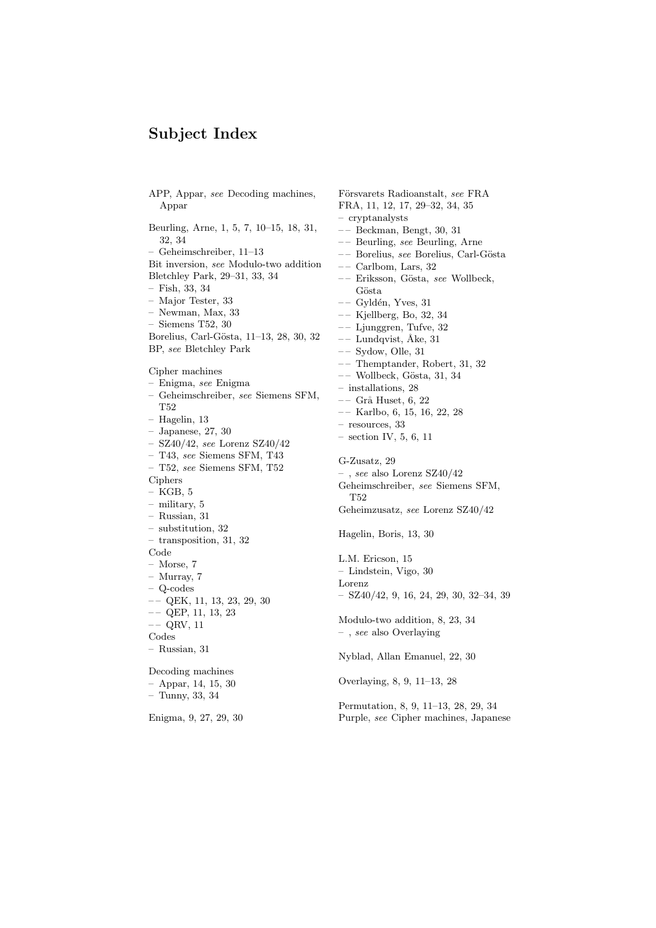# Subject Index

APP, Appar, see Decoding machines,

Appar Beurling, Arne, 1, 5, 7, 10–15, 18, 31, 32, 34 – Geheimschreiber, 11–13 Bit inversion, see Modulo-two addition Bletchley Park, 29–31, 33, 34 – Fish, 33, 34 – Major Tester, 33 – Newman, Max, 33 – Siemens T52, 30 Borelius, Carl-Gösta, 11–13, 28, 30, 32 BP, see Bletchley Park Cipher machines – Enigma, see Enigma – Geheimschreiber, see Siemens SFM, T52 – Hagelin, 13 – Japanese, 27, 30 – SZ40/42, see Lorenz SZ40/42 – T43, see Siemens SFM, T43 – T52, see Siemens SFM, T52 Ciphers – KGB, 5 – military, 5 – Russian, 31 – substitution, 32 – transposition, 31, 32 Code – Morse, 7 – Murray, 7 – Q-codes – – QEK, 11, 13, 23, 29, 30  $--$  QEP, 11, 13, 23  $--$  QRV, 11 Codes – Russian, 31 Decoding machines – Appar, 14, 15, 30 – Tunny, 33, 34 Enigma, 9, 27, 29, 30

Försvarets Radioanstalt, see FRA FRA, 11, 12, 17, 29–32, 34, 35 – cryptanalysts – – Beckman, Bengt, 30, 31 – – Beurling, see Beurling, Arne – – Borelius, see Borelius, Carl-Gösta – – Carlbom, Lars, 32 – – Eriksson, G¨osta, see Wollbeck, Gösta  $--$  Gyldén, Yves, 31 – – Kjellberg, Bo, 32, 34  $--$  Ljunggren, Tufve, 32  $--$  Lundqvist, Åke, 31  $--$  Sydow, Olle, 31 – – Themptander, Robert, 31, 32  $--$  Wollbeck, Gösta, 31, 34 – installations, 28  $--$  Grå Huset, 6, 22 – – Karlbo, 6, 15, 16, 22, 28 – resources, 33 – section IV, 5, 6, 11 G-Zusatz, 29 – , see also Lorenz SZ40/42 Geheimschreiber, see Siemens SFM, T52 Geheimzusatz, see Lorenz SZ40/42 Hagelin, Boris, 13, 30 L.M. Ericson, 15 – Lindstein, Vigo, 30 Lorenz – SZ40/42, 9, 16, 24, 29, 30, 32–34, 39 Modulo-two addition, 8, 23, 34 – , see also Overlaying Nyblad, Allan Emanuel, 22, 30 Overlaying, 8, 9, 11–13, 28 Permutation, 8, 9, 11–13, 28, 29, 34 Purple, see Cipher machines, Japanese